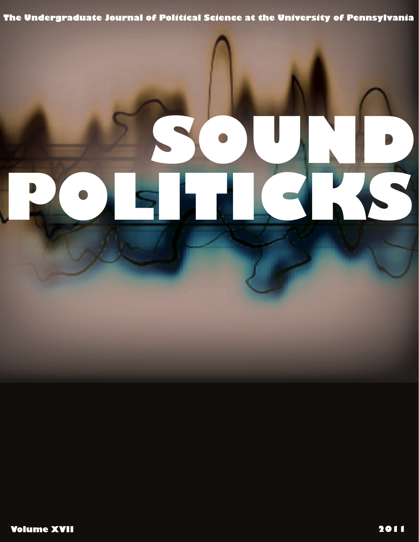The Undergraduate Journal of Political Science at the University of Pennsylvania

# **\$%&'( )%\*+,+-.\$**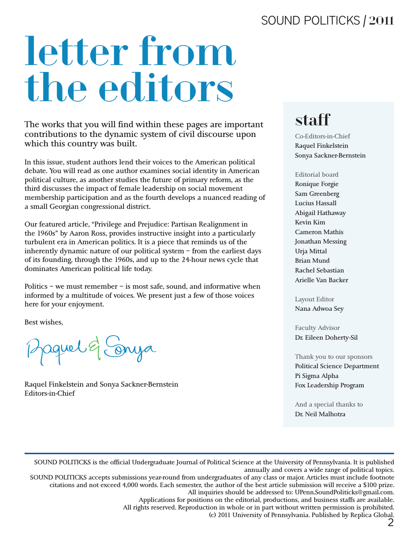# letter from the editors

The works that you will find within these pages are important contributions to the dynamic system of civil discourse upon which this country was built.

In this issue, student authors lend their voices to the American political debate. You will read as one author examines social identity in American political culture, as another studies the future of primary reform, as the third discusses the impact of female leadership on social movement membership participation and as the fourth develops a nuanced reading of a small Georgian congressional district.

Our featured article, "Privilege and Prejudice: Partisan Realignment in the 1960s" by Aaron Ross, provides instructive insight into a particularly turbulent era in American politics. It is a piece that reminds us of the inherently dynamic nature of our political system – from the earliest days of its founding, through the 1960s, and up to the 24-hour news cycle that dominates American political life today.

Politics – we must remember – is most safe, sound, and informative when informed by a multitude of voices. We present just a few of those voices here for your enjoyment.

Best wishes,

Baquel & Conya

Raquel Finkelstein and Sonya Sackner-Bernstein Editors-in-Chief

# staff

Co-Editors-in-Chief Raquel Finkelstein Sonya Sackner-Bernstein

Editorial board Ronique Forgie Sam Greenberg Lucius Hassall Abigail Hathaway Kevin Kim Cameron Mathis Jonathan Messing Urja Mittal Brian Mund Rachel Sebastian Arielle Van Backer

Layout Editor Nana Adwoa Sey

Faculty Advisor Dr. Eileen Doherty-Sil

Thank you to our sponsors Political Science Department Pi Sigma Alpha Fox Leadership Program

And a special thanks to Dr. Neil Malhotra

SOUND POLITICKS is the official Undergraduate Journal of Political Science at the University of Pennsylvania. It is published annually and covers a wide range of political topics.

SOUND POLITICKS accepts submissions year-round from undergraduates of any class or major. Articles must include footnote citations and not exceed 4,000 words. Each semester, the author of the best article submission will receive a \$100 prize.

All inquiries should be addressed to: UPenn.SoundPoliticks@gmail.com.

Applications for positions on the editorial, productions, and business staffs are available.

All rights reserved. Reproduction in whole or in part without written permission is prohibited.

2 (c) 2011 University of Pennsylvania. Published by Replica Global.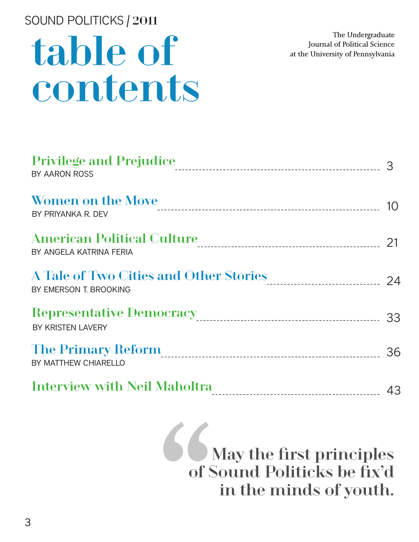# table of contents

The Undergraduate Journal of Political Science at the University of Pennsylvania

| Privilege and Prejudice<br>BY AARON ROSS                               |  |
|------------------------------------------------------------------------|--|
| <b>Women on the Move</b><br>$\overrightarrow{z}$<br>BY PRIYANKA R. DEV |  |
| American Political Culture<br>BY ANGELA KATRINA FERIA                  |  |
| A Tale of Two Cities and Other Stories 24<br>BY EMERSON T. BROOKING    |  |
| Representative Democracy<br>BY KRISTEN LAVERY                          |  |
| The Primary Reform<br>BY MATTHEW CHIARELLO                             |  |
| Interview with Neil Maholtra (1995) 43                                 |  |

**66**<br>of s May the first principles of Sound Politicks be fix'd in the minds of youth.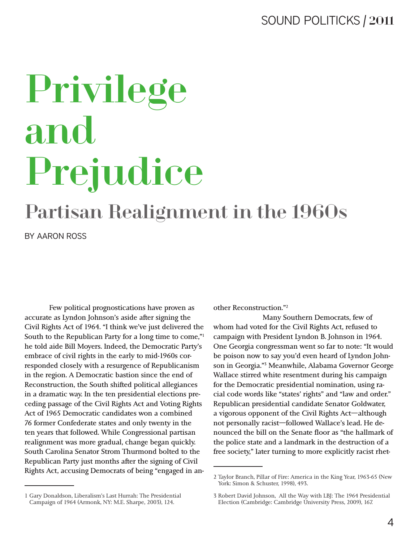# Privilege and Prejudice

# Partisan Realignment in the 1960s

BY AARON ROSS

Few political prognostications have proven as accurate as Lyndon Johnson's aside after signing the Civil Rights Act of 1964. "I think we've just delivered the South to the Republican Party for a long time to come,"1 he told aide Bill Moyers. Indeed, the Democratic Party's embrace of civil rights in the early to mid-1960s corresponded closely with a resurgence of Republicanism in the region. A Democratic bastion since the end of Reconstruction, the South shifted political allegiances in a dramatic way. In the ten presidential elections preceding passage of the Civil Rights Act and Voting Rights Act of 1965 Democratic candidates won a combined 76 former Confederate states and only twenty in the ten years that followed. While Congressional partisan realignment was more gradual, change began quickly. South Carolina Senator Strom Thurmond bolted to the Republican Party just months after the signing of Civil Rights Act, accusing Democrats of being "engaged in another Reconstruction."2

Many Southern Democrats, few of whom had voted for the Civil Rights Act, refused to campaign with President Lyndon B. Johnson in 1964. One Georgia congressman went so far to note: "It would be poison now to say you'd even heard of Lyndon Johnson in Georgia."3 Meanwhile, Alabama Governor George Wallace stirred white resentment during his campaign for the Democratic presidential nomination, using racial code words like "states' rights" and "law and order." Republican presidential candidate Senator Goldwater, a vigorous opponent of the Civil Rights Act—although not personally racist—followed Wallace's lead. He denounced the bill on the Senate floor as "the hallmark of the police state and a landmark in the destruction of a free society," later turning to more explicitly racist rhet-

<sup>2</sup> Taylor Branch, Pillar of Fire: America in the King Year, 1963-65 (New York: Simon & Schuster, 1998), 493.

<sup>1</sup> Gary Donaldson, Liberalism's Last Hurrah: The Presidential Campaign of 1964 (Armonk, NY: M.E. Sharpe, 2003), 124.

<sup>3</sup> Robert David Johnson, All the Way with LBJ: The 1964 Presidential Election (Cambridge: Cambridge University Press, 2009), 167.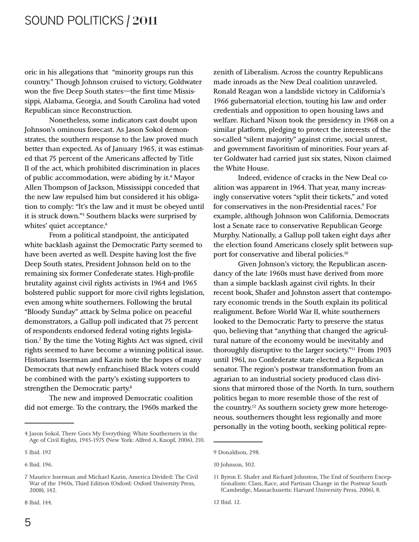oric in his allegations that "minority groups run this country." Though Johnson cruised to victory, Goldwater won the five Deep South states—the first time Mississippi, Alabama, Georgia, and South Carolina had voted Republican since Reconstruction.

Nonetheless, some indicators cast doubt upon Johnson's ominous forecast. As Jason Sokol demonstrates, the southern response to the law proved much better than expected. As of January 1965, it was estimated that 75 percent of the Americans affected by Title II of the act, which prohibited discrimination in places of public accommodation, were abiding by it.<sup>4</sup> Mayor Allen Thompson of Jackson, Mississippi conceded that the new law repulsed him but considered it his obligation to comply: "It's the law and it must be obeyed until it is struck down."5 Southern blacks were surprised by whites' quiet acceptance.<sup>6</sup>

From a political standpoint, the anticipated white backlash against the Democratic Party seemed to have been averted as well. Despite having lost the five Deep South states, President Johnson held on to the remaining six former Confederate states. High-profile brutality against civil rights activists in 1964 and 1965 bolstered public support for more civil rights legislation, even among white southerners. Following the brutal "Bloody Sunday" attack by Selma police on peaceful demonstrators, a Gallup poll indicated that 75 percent of respondents endorsed federal voting rights legislation.7 By the time the Voting Rights Act was signed, civil rights seemed to have become a winning political issue. Historians Isserman and Kazin note the hopes of many Democrats that newly enfranchised Black voters could be combined with the party's existing supporters to strengthen the Democratic party.8

The new and improved Democratic coalition did not emerge. To the contrary, the 1960s marked the

8 Ibid. 144.

zenith of Liberalism. Across the country Republicans made inroads as the New Deal coalition unraveled. Ronald Reagan won a landslide victory in California's 1966 gubernatorial election, touting his law and order credentials and opposition to open housing laws and welfare. Richard Nixon took the presidency in 1968 on a similar platform, pledging to protect the interests of the so-called "silent majority" against crime, social unrest, and government favoritism of minorities. Four years after Goldwater had carried just six states, Nixon claimed the White House.

Indeed, evidence of cracks in the New Deal coalition was apparent in 1964. That year, many increasingly conservative voters "split their tickets," and voted for conservatives in the non-Presidential races.<sup>9</sup> For example, although Johnson won California, Democrats lost a Senate race to conservative Republican George Murphy. Nationally, a Gallup poll taken eight days after the election found Americans closely split between support for conservative and liberal policies.10

Given Johnson's victory, the Republican ascendancy of the late 1960s must have derived from more than a simple backlash against civil rights. In their recent book, Shafer and Johnston assert that contemporary economic trends in the South explain its political realignment. Before World War II, white southerners looked to the Democratic Party to preserve the status quo, believing that "anything that changed the agricultural nature of the economy would be inevitably and thoroughly disruptive to the larger society."11 From 1903 until 1961, no Confederate state elected a Republican senator. The region's postwar transformation from an agrarian to an industrial society produced class divisions that mirrored those of the North. In turn, southern politics began to more resemble those of the rest of the country.12 As southern society grew more heterogeneous, southerners thought less regionally and more personally in the voting booth, seeking political repre-

<sup>4</sup> Jason Sokol, There Goes My Everything: White Southerners in the Age of Civil Rights, 1945-1975 (New York: Alfred A. Knopf, 2006), 210.

<sup>5</sup> Ibid. 197.

<sup>6</sup> Ibid. 196.

<sup>7</sup> Maurice Isserman and Michael Kazin, America Divided: The Civil War of the 1960s, Third Edition (Oxford: Oxford University Press, 2008), 142.

<sup>9</sup> Donaldson, 298.

<sup>10</sup> Johnson, 302.

<sup>11</sup> Byron E. Shafer and Richard Johnston, The End of Southern Exceptionalism: Class, Race, and Partisan Change in the Postwar South (Cambridge, Massachusetts: Harvard University Press, 2006), 8.

<sup>12</sup> Ibid. 12.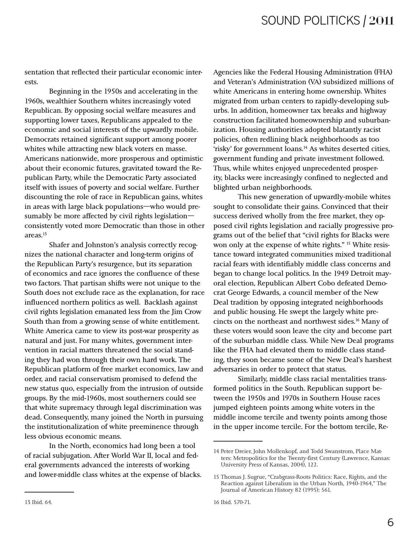sentation that reflected their particular economic interests.

Beginning in the 1950s and accelerating in the 1960s, wealthier Southern whites increasingly voted Republican. By opposing social welfare measures and supporting lower taxes, Republicans appealed to the economic and social interests of the upwardly mobile. Democrats retained significant support among poorer whites while attracting new black voters en masse. Americans nationwide, more prosperous and optimistic about their economic futures, gravitated toward the Republican Party, while the Democratic Party associated itself with issues of poverty and social welfare. Further discounting the role of race in Republican gains, whites in areas with large black populations—who would presumably be more affected by civil rights legislation consistently voted more Democratic than those in other areas.13

Shafer and Johnston's analysis correctly recognizes the national character and long-term origins of the Republican Party's resurgence, but its separation of economics and race ignores the confluence of these two factors. That partisan shifts were not unique to the South does not exclude race as the explanation, for race influenced northern politics as well. Backlash against civil rights legislation emanated less from the Jim Crow South than from a growing sense of white entitlement. White America came to view its post-war prosperity as natural and just. For many whites, government intervention in racial matters threatened the social standing they had won through their own hard work. The Republican platform of free market economics, law and order, and racial conservatism promised to defend the new status quo, especially from the intrusion of outside groups. By the mid-1960s, most southerners could see that white supremacy through legal discrimination was dead. Consequently, many joined the North in pursuing the institutionalization of white preeminence through less obvious economic means.

In the North, economics had long been a tool of racial subjugation. After World War II, local and federal governments advanced the interests of working and lower-middle class whites at the expense of blacks. Agencies like the Federal Housing Administration (FHA) and Veteran's Administration (VA) subsidized millions of white Americans in entering home ownership. Whites migrated from urban centers to rapidly-developing suburbs. In addition, homeowner tax breaks and highway construction facilitated homeownership and suburbanization. Housing authorities adopted blatantly racist policies, often redlining black neighborhoods as too 'risky' for government loans.14 As whites deserted cities, government funding and private investment followed. Thus, while whites enjoyed unprecedented prosperity, blacks were increasingly confined to neglected and blighted urban neighborhoods.

This new generation of upwardly-mobile whites sought to consolidate their gains. Convinced that their success derived wholly from the free market, they opposed civil rights legislation and racially progressive programs out of the belief that "civil rights for Blacks were won only at the expense of white rights." <sup>15</sup> White resistance toward integrated communities mixed traditional racial fears with identifiably middle class concerns and began to change local politics. In the 1949 Detroit mayoral election, Republican Albert Cobo defeated Democrat George Edwards, a council member of the New Deal tradition by opposing integrated neighborhoods and public housing. He swept the largely white precincts on the northeast and northwest sides.16 Many of these voters would soon leave the city and become part of the suburban middle class. While New Deal programs like the FHA had elevated them to middle class standing, they soon became some of the New Deal's harshest adversaries in order to protect that status.

Similarly, middle class racial mentalities transformed politics in the South. Republican support between the 1950s and 1970s in Southern House races jumped eighteen points among white voters in the middle income tercile and twenty points among those in the upper income tercile. For the bottom tercile, Re-

<sup>14</sup> Peter Dreier, John Mollenkopf, and Todd Swanstrom, Place Matters: Metropolitics for the Twenty-first Century (Lawrence, Kansas: University Press of Kansas, 2004), 122.

<sup>15</sup> Thomas J. Sugrue, "Crabgrass-Roots Politics: Race, Rights, and the Reaction against Liberalism in the Urban North, 1940-1964," The Journal of American History 82 (1995): 561.

<sup>16</sup> Ibid. 570-71.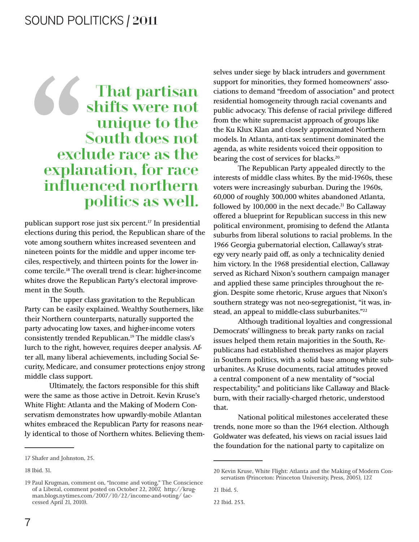# " That partisan shifts were not unique to the South does not exclude race as the explanation, for race influenced northern politics as well.

publican support rose just six percent.17 In presidential elections during this period, the Republican share of the vote among southern whites increased seventeen and nineteen points for the middle and upper income terciles, respectively, and thirteen points for the lower income tercile.18 The overall trend is clear: higher-income whites drove the Republican Party's electoral improvement in the South.

The upper class gravitation to the Republican Party can be easily explained. Wealthy Southerners, like their Northern counterparts, naturally supported the party advocating low taxes, and higher-income voters consistently trended Republican.19 The middle class's lurch to the right, however, requires deeper analysis. After all, many liberal achievements, including Social Security, Medicare, and consumer protections enjoy strong middle class support.

Ultimately, the factors responsible for this shift were the same as those active in Detroit. Kevin Kruse's White Flight: Atlanta and the Making of Modern Conservatism demonstrates how upwardly-mobile Atlantan whites embraced the Republican Party for reasons nearly identical to those of Northern whites. Believing themselves under siege by black intruders and government support for minorities, they formed homeowners' associations to demand "freedom of association" and protect residential homogeneity through racial covenants and public advocacy. This defense of racial privilege differed from the white supremacist approach of groups like the Ku Klux Klan and closely approximated Northern models. In Atlanta, anti-tax sentiment dominated the agenda, as white residents voiced their opposition to bearing the cost of services for blacks.20

The Republican Party appealed directly to the interests of middle class whites. By the mid-1960s, these voters were increasingly suburban. During the 1960s, 60,000 of roughly 300,000 whites abandoned Atlanta, followed by 100,000 in the next decade.<sup>21</sup> Bo Callaway offered a blueprint for Republican success in this new political environment, promising to defend the Atlanta suburbs from liberal solutions to racial problems. In the 1966 Georgia gubernatorial election, Callaway's strategy very nearly paid off, as only a technicality denied him victory. In the 1968 presidential election, Callaway served as Richard Nixon's southern campaign manager and applied these same principles throughout the region. Despite some rhetoric, Kruse argues that Nixon's southern strategy was not neo-segregationist, "it was, instead, an appeal to middle-class suburbanites."<sup>22</sup>

Although traditional loyalties and congressional Democrats' willingness to break party ranks on racial issues helped them retain majorities in the South, Republicans had established themselves as major players in Southern politics, with a solid base among white suburbanites. As Kruse documents, racial attitudes proved a central component of a new mentality of "social respectability," and politicians like Callaway and Blackburn, with their racially-charged rhetoric, understood that.

National political milestones accelerated these trends, none more so than the 1964 election. Although Goldwater was defeated, his views on racial issues laid the foundation for the national party to capitalize on

<sup>17</sup> Shafer and Johnston, 25.

<sup>18</sup> Ibid. 31.

<sup>19</sup> Paul Krugman, comment on, "Income and voting," The Conscience of a Liberal, comment posted on October 22, 2007, http://krugman.blogs.nytimes.com/2007/10/22/income-and-voting/ (accessed April 21, 2010).

<sup>20</sup> Kevin Kruse, White Flight: Atlanta and the Making of Modern Conservatism (Princeton: Princeton University, Press, 2005), 127.

<sup>21</sup> Ibid. 5.

<sup>22</sup> Ibid. 253.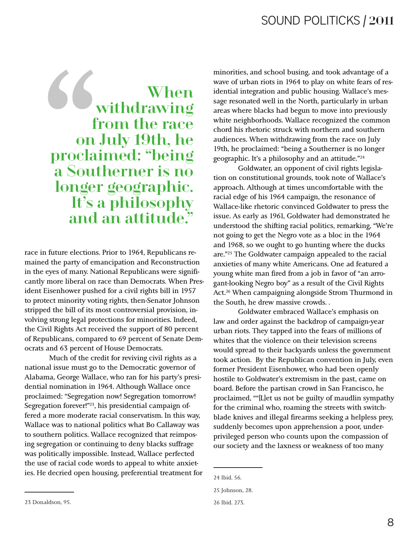When withdrawing from the race on July 19th, he proclaimed: "being a Southerner is no longer geographic. It's a philosophy and an attitude."

race in future elections. Prior to 1964, Republicans remained the party of emancipation and Reconstruction in the eyes of many. National Republicans were significantly more liberal on race than Democrats. When President Eisenhower pushed for a civil rights bill in 1957 to protect minority voting rights, then-Senator Johnson stripped the bill of its most controversial provision, involving strong legal protections for minorities. Indeed, the Civil Rights Act received the support of 80 percent of Republicans, compared to 69 percent of Senate Democrats and 63 percent of House Democrats.

Much of the credit for reviving civil rights as a national issue must go to the Democratic governor of Alabama, George Wallace, who ran for his party's presidential nomination in 1964. Although Wallace once proclaimed: "Segregation now! Segregation tomorrow! Segregation forever!"23, his presidential campaign offered a more moderate racial conservatism. In this way, Wallace was to national politics what Bo Callaway was to southern politics. Wallace recognized that reimposing segregation or continuing to deny blacks suffrage was politically impossible. Instead, Wallace perfected the use of racial code words to appeal to white anxieties. He decried open housing, preferential treatment for minorities, and school busing, and took advantage of a wave of urban riots in 1964 to play on white fears of residential integration and public housing. Wallace's message resonated well in the North, particularly in urban areas where blacks had begun to move into previously white neighborhoods. Wallace recognized the common chord his rhetoric struck with northern and southern audiences. When withdrawing from the race on July 19th, he proclaimed: "being a Southerner is no longer geographic. It's a philosophy and an attitude."24

Goldwater, an opponent of civil rights legislation on constitutional grounds, took note of Wallace's approach. Although at times uncomfortable with the racial edge of his 1964 campaign, the resonance of Wallace-like rhetoric convinced Goldwater to press the issue. As early as 1961, Goldwater had demonstrated he understood the shifting racial politics, remarking, "We're not going to get the Negro vote as a bloc in the 1964 and 1968, so we ought to go hunting where the ducks are."25 The Goldwater campaign appealed to the racial anxieties of many white Americans. One ad featured a young white man fired from a job in favor of "an arrogant-looking Negro boy" as a result of the Civil Rights Act.<sup>26</sup> When campaigning alongside Strom Thurmond in the South, he drew massive crowds. .

Goldwater embraced Wallace's emphasis on law and order against the backdrop of campaign-year urban riots. They tapped into the fears of millions of whites that the violence on their television screens would spread to their backyards unless the government took action. By the Republican convention in July, even former President Eisenhower, who had been openly hostile to Goldwater's extremism in the past, came on board. Before the partisan crowd in San Francisco, he proclaimed, ""[L]et us not be guilty of maudlin sympathy for the criminal who, roaming the streets with switchblade knives and illegal firearms seeking a helpless prey, suddenly becomes upon apprehension a poor, underprivileged person who counts upon the compassion of our society and the laxness or weakness of too many

<sup>24</sup> Ibid. 56.

<sup>25</sup> Johnson, 28.

<sup>26</sup> Ibid. 273.

<sup>23</sup> Donaldson, 95.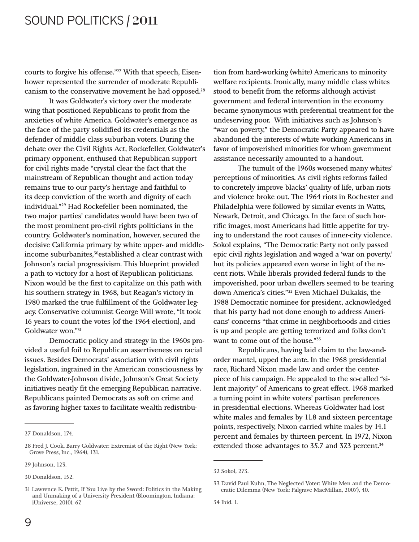courts to forgive his offense."27 With that speech, Eisenhower represented the surrender of moderate Republicanism to the conservative movement he had opposed.<sup>28</sup>

It was Goldwater's victory over the moderate wing that positioned Republicans to profit from the anxieties of white America. Goldwater's emergence as the face of the party solidified its credentials as the defender of middle class suburban voters. During the debate over the Civil Rights Act, Rockefeller, Goldwater's primary opponent, enthused that Republican support for civil rights made "crystal clear the fact that the mainstream of Republican thought and action today remains true to our party's heritage and faithful to its deep conviction of the worth and dignity of each individual."29 Had Rockefeller been nominated, the two major parties' candidates would have been two of the most prominent pro-civil rights politicians in the country. Goldwater's nomination, however, secured the decisive California primary by white upper- and middleincome suburbanites,<sup>30</sup>established a clear contrast with Johnson's racial progressivism. This blueprint provided a path to victory for a host of Republican politicians. Nixon would be the first to capitalize on this path with his southern strategy in 1968, but Reagan's victory in 1980 marked the true fulfillment of the Goldwater legacy. Conservative columnist George Will wrote, "It took 16 years to count the votes [of the 1964 election], and Goldwater won."31

Democratic policy and strategy in the 1960s provided a useful foil to Republican assertiveness on racial issues. Besides Democrats' association with civil rights legislation, ingrained in the American consciousness by the Goldwater-Johnson divide, Johnson's Great Society initiatives neatly fit the emerging Republican narrative. Republicans painted Democrats as soft on crime and as favoring higher taxes to facilitate wealth redistribution from hard-working (white) Americans to minority welfare recipients. Ironically, many middle class whites stood to benefit from the reforms although activist government and federal intervention in the economy became synonymous with preferential treatment for the undeserving poor. With initiatives such as Johnson's "war on poverty," the Democratic Party appeared to have abandoned the interests of white working Americans in favor of impoverished minorities for whom government assistance necessarily amounted to a handout.

The tumult of the 1960s worsened many whites' perceptions of minorities. As civil rights reforms failed to concretely improve blacks' quality of life, urban riots and violence broke out. The 1964 riots in Rochester and Philadelphia were followed by similar events in Watts, Newark, Detroit, and Chicago. In the face of such horrific images, most Americans had little appetite for trying to understand the root causes of inner-city violence. Sokol explains, "The Democratic Party not only passed epic civil rights legislation and waged a 'war on poverty,' but its policies appeared even worse in light of the recent riots. While liberals provided federal funds to the impoverished, poor urban dwellers seemed to be tearing down America's cities."32 Even Michael Dukakis, the 1988 Democratic nominee for president, acknowledged that his party had not done enough to address Americans' concerns "that crime in neighborhoods and cities is up and people are getting terrorized and folks don't want to come out of the house."<sup>33</sup>

Republicans, having laid claim to the law-andorder mantel, upped the ante. In the 1968 presidential race, Richard Nixon made law and order the centerpiece of his campaign. He appealed to the so-called "silent majority" of Americans to great effect. 1968 marked a turning point in white voters' partisan preferences in presidential elections. Whereas Goldwater had lost white males and females by 11.8 and sixteen percentage points, respectively, Nixon carried white males by 14.1 percent and females by thirteen percent. In 1972, Nixon extended those advantages to 35.7 and 37.3 percent.<sup>34</sup>

<sup>27</sup> Donaldson, 174.

<sup>28</sup> Fred J. Cook, Barry Goldwater: Extremist of the Right (New York: Grove Press, Inc., 1964), 131.

<sup>29</sup> Johnson, 123.

<sup>30</sup> Donaldson, 152.

<sup>31</sup> Lawrence K. Pettit, If You Live by the Sword: Politics in the Making and Unmaking of a University President (Bloomington, Indiana: iUniverse, 2010), 67.

<sup>32</sup> Sokol, 273.

<sup>33</sup> David Paul Kuhn, The Neglected Voter: White Men and the Democratic Dilemma (New York: Palgrave MacMillan, 2007), 40.

<sup>34</sup> Ibid. 1.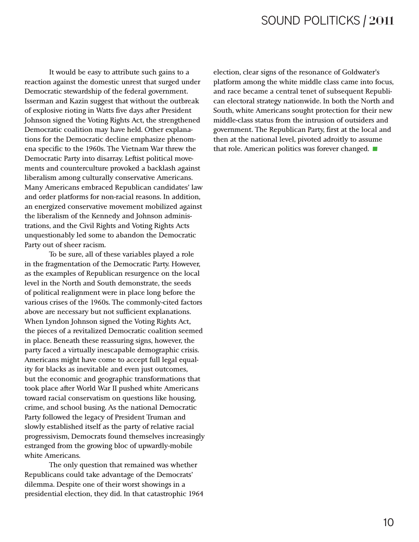It would be easy to attribute such gains to a reaction against the domestic unrest that surged under Democratic stewardship of the federal government. Isserman and Kazin suggest that without the outbreak of explosive rioting in Watts five days after President Johnson signed the Voting Rights Act, the strengthened Democratic coalition may have held. Other explanations for the Democratic decline emphasize phenomena specific to the 1960s. The Vietnam War threw the Democratic Party into disarray. Leftist political movements and counterculture provoked a backlash against liberalism among culturally conservative Americans. Many Americans embraced Republican candidates' law and order platforms for non-racial reasons. In addition, an energized conservative movement mobilized against the liberalism of the Kennedy and Johnson administrations, and the Civil Rights and Voting Rights Acts unquestionably led some to abandon the Democratic Party out of sheer racism.

To be sure, all of these variables played a role in the fragmentation of the Democratic Party. However, as the examples of Republican resurgence on the local level in the North and South demonstrate, the seeds of political realignment were in place long before the various crises of the 1960s. The commonly-cited factors above are necessary but not sufficient explanations. When Lyndon Johnson signed the Voting Rights Act, the pieces of a revitalized Democratic coalition seemed in place. Beneath these reassuring signs, however, the party faced a virtually inescapable demographic crisis. Americans might have come to accept full legal equality for blacks as inevitable and even just outcomes, but the economic and geographic transformations that took place after World War II pushed white Americans toward racial conservatism on questions like housing, crime, and school busing. As the national Democratic Party followed the legacy of President Truman and slowly established itself as the party of relative racial progressivism, Democrats found themselves increasingly estranged from the growing bloc of upwardly-mobile white Americans.

The only question that remained was whether Republicans could take advantage of the Democrats' dilemma. Despite one of their worst showings in a presidential election, they did. In that catastrophic 1964 election, clear signs of the resonance of Goldwater's platform among the white middle class came into focus, and race became a central tenet of subsequent Republican electoral strategy nationwide. In both the North and South, white Americans sought protection for their new middle-class status from the intrusion of outsiders and government. The Republican Party, first at the local and then at the national level, pivoted adroitly to assume government. The Republican Party, first at the local<br>then at the national level, pivoted adroitly to assume<br>that role. American politics was forever changed. ■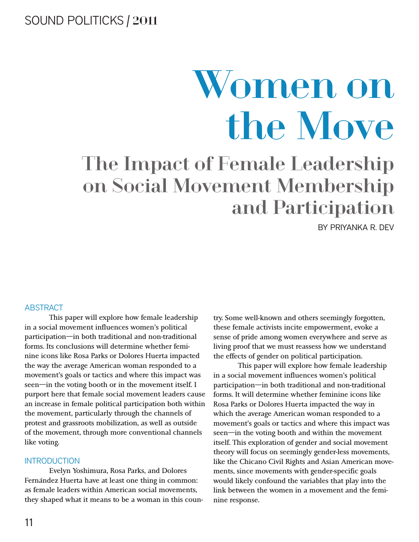# Women on the Move

# The Impact of Female Leadership on Social Movement Membership and Participation

BY PRIYANKA R. DEV

#### ABSTRACT

This paper will explore how female leadership in a social movement influences women's political participation—in both traditional and non-traditional forms. Its conclusions will determine whether feminine icons like Rosa Parks or Dolores Huerta impacted the way the average American woman responded to a movement's goals or tactics and where this impact was seen—in the voting booth or in the movement itself. I purport here that female social movement leaders cause an increase in female political participation both within the movement, particularly through the channels of protest and grassroots mobilization, as well as outside of the movement, through more conventional channels like voting.

#### INTRODUCTION

Evelyn Yoshimura, Rosa Parks, and Dolores Fernández Huerta have at least one thing in common: as female leaders within American social movements, they shaped what it means to be a woman in this country. Some well-known and others seemingly forgotten, these female activists incite empowerment, evoke a sense of pride among women everywhere and serve as living proof that we must reassess how we understand the effects of gender on political participation.

This paper will explore how female leadership in a social movement influences women's political participation—in both traditional and non-traditional forms. It will determine whether feminine icons like Rosa Parks or Dolores Huerta impacted the way in which the average American woman responded to a movement's goals or tactics and where this impact was seen—in the voting booth and within the movement itself. This exploration of gender and social movement theory will focus on seemingly gender-less movements, like the Chicano Civil Rights and Asian American movements, since movements with gender-specific goals would likely confound the variables that play into the link between the women in a movement and the feminine response.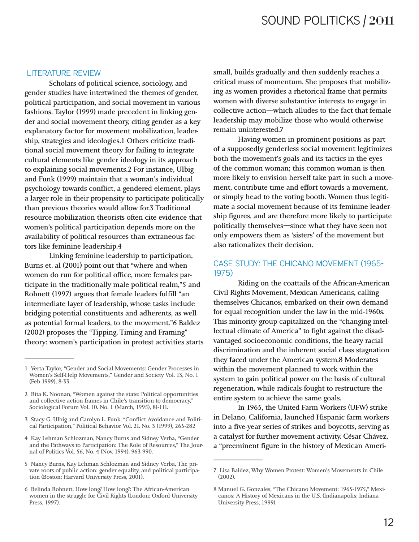#### LITERATURE REVIEW

Scholars of political science, sociology, and gender studies have intertwined the themes of gender, political participation, and social movement in various fashions. Taylor (1999) made precedent in linking gender and social movement theory, citing gender as a key explanatory factor for movement mobilization, leadership, strategies and ideologies.1 Others criticize traditional social movement theory for failing to integrate cultural elements like gender ideology in its approach to explaining social movements.2 For instance, Ulbig and Funk (1999) maintain that a woman's individual psychology towards conflict, a gendered element, plays a larger role in their propensity to participate politically than previous theories would allow for.3 Traditional resource mobilization theorists often cite evidence that women's political participation depends more on the availability of political resources than extraneous factors like feminine leadership.4

Linking feminine leadership to participation, Burns et. al (2001) point out that "where and when women do run for political office, more females participate in the traditionally male political realm,"5 and Robnett (1997) argues that female leaders fulfill "an intermediate layer of leadership, whose tasks include bridging potential constituents and adherents, as well as potential formal leaders, to the movement."6 Baldez (2002) proposes the "Tipping, Timing and Framing" theory: women's participation in protest activities starts

- 3 Stacy G. Ulbig and Carolyn L. Funk, "Conflict Avoidance and Political Participation," Political Behavior Vol. 21. No. 3 (1999), 265-282
- 4 Kay Lehman Schlozman, Nancy Burns and Sidney Verba, "Gender and the Pathways to Participation: The Role of Resources," The Journal of Politics Vol. 56, No. 4 (Nov. 1994). 963-990.
- 5 Nancy Burns, Kay Lehman Schlozman and Sidney Verba, The private roots of public action: gender equality, and political participation (Boston: Harvard University Press, 2001).
- 6 Belinda Robnett, How long? How long?: The African-American women in the struggle for Civil Rights (London: Oxford University Press, 1997).

small, builds gradually and then suddenly reaches a critical mass of momentum. She proposes that mobilizing as women provides a rhetorical frame that permits women with diverse substantive interests to engage in collective action—which alludes to the fact that female leadership may mobilize those who would otherwise remain uninterested.7

Having women in prominent positions as part of a supposedly genderless social movement legitimizes both the movement's goals and its tactics in the eyes of the common woman; this common woman is then more likely to envision herself take part in such a movement, contribute time and effort towards a movement, or simply head to the voting booth. Women thus legitimate a social movement because of its feminine leadership figures, and are therefore more likely to participate politically themselves—since what they have seen not only empowers them as 'sisters' of the movement but also rationalizes their decision.

#### CASE STUDY: THE CHICANO MOVEMENT (1965- 1975)

Riding on the coattails of the African-American Civil Rights Movement, Mexican Americans, calling themselves Chicanos, embarked on their own demand for equal recognition under the law in the mid-1960s. This minority group capitalized on the "changing intellectual climate of America" to fight against the disadvantaged socioeconomic conditions, the heavy racial discrimination and the inherent social class stagnation they faced under the American system.8 Moderates within the movement planned to work within the system to gain political power on the basis of cultural regeneration, while radicals fought to restructure the entire system to achieve the same goals.

In 1965, the United Farm Workers (UFW) strike in Delano, California, launched Hispanic farm workers into a five-year series of strikes and boycotts, serving as a catalyst for further movement activity. César Chávez, a "preeminent figure in the history of Mexican Ameri-

<sup>1</sup> Verta Taylor, "Gender and Social Movements: Gender Processes in Women's Self-Help Movements," Gender and Society Vol. 13, No. 1 (Feb 1999), 8-33.

<sup>2</sup> Rita K. Noonan, "Women against the state: Political opportunities and collective action frames in Chile's transition to democracy," Sociological Forum Vol. 10. No. 1 (March, 1995), 81-111.

<sup>7</sup> Lisa Baldez, Why Women Protest: Women's Movements in Chile (2002).

<sup>8</sup> Manuel G. Gonzales, "The Chicano Movement: 1965-1975," Mexicanos: A History of Mexicans in the U.S. (Indianapolis: Indiana University Press, 1999).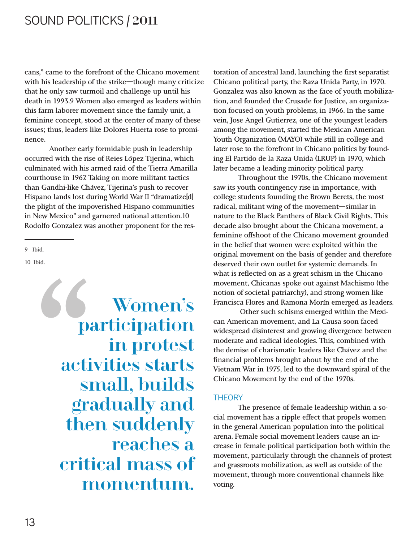cans," came to the forefront of the Chicano movement with his leadership of the strike—though many criticize that he only saw turmoil and challenge up until his death in 1993.9 Women also emerged as leaders within this farm laborer movement since the family unit, a feminine concept, stood at the center of many of these issues; thus, leaders like Dolores Huerta rose to prominence.

Another early formidable push in leadership occurred with the rise of Reies López Tijerina, which culminated with his armed raid of the Tierra Amarilla courthouse in 1967. Taking on more militant tactics than Gandhi-like Chávez, Tijerina's push to recover Hispano lands lost during World War II "dramatize[d] the plight of the impoverished Hispano communities in New Mexico" and garnered national attention.10 Rodolfo Gonzalez was another proponent for the res-

9 Ibid.

10 Ibid.

 $\fbox{\parbox{1.5cm}{{\bf Nonen's}}\normalsize{participation}} {\begin{tabular}{c} {\bf norm} \\ {\bf n} \end{tabular}} \begin{tabular}{c} {\bf norm} \\ {\bf n} \end{tabular} \end{tabular} \begin{tabular}{c} {\bf A} \\ {\bf A} \\ {\bf A} \\ {\bf A} \\ {\bf A} \\ {\bf B} \\ {\bf B} \\ {\bf B} \\ {\bf B} \\ {\bf C} \\ {\bf A} \\ {\bf B} \\ {\bf C} \\ {\bf A} \\ {\bf B} \\ {\bf C} \\ {\bf A} \\ {\bf C} \\ {\bf A} \\ {\bf A} \\ {\bf B} \\ {\bf C} \\ {\bf A} \\ {\bf C} \\ {\bf A} \\ {\bf A} \\ {\bf A} \\$ participation in protest activities starts small, builds gradually and then suddenly reaches a critical mass of momentum.

toration of ancestral land, launching the first separatist Chicano political party, the Raza Unida Party, in 1970. Gonzalez was also known as the face of youth mobilization, and founded the Crusade for Justice, an organization focused on youth problems, in 1966. In the same vein, Jose Angel Gutierrez, one of the youngest leaders among the movement, started the Mexican American Youth Organization (MAYO) while still in college and later rose to the forefront in Chicano politics by founding El Partido de la Raza Unida (LRUP) in 1970, which later became a leading minority political party.

Throughout the 1970s, the Chicano movement saw its youth contingency rise in importance, with college students founding the Brown Berets, the most radical, militant wing of the movement—similar in nature to the Black Panthers of Black Civil Rights. This decade also brought about the Chicana movement, a feminine offshoot of the Chicano movement grounded in the belief that women were exploited within the original movement on the basis of gender and therefore deserved their own outlet for systemic demands. In what is reflected on as a great schism in the Chicano movement, Chicanas spoke out against Machismo (the notion of societal patriarchy), and strong women like Francisca Flores and Ramona Morín emerged as leaders.

 Other such schisms emerged within the Mexican American movement, and La Causa soon faced widespread disinterest and growing divergence between moderate and radical ideologies. This, combined with the demise of charismatic leaders like Chávez and the financial problems brought about by the end of the Vietnam War in 1975, led to the downward spiral of the Chicano Movement by the end of the 1970s.

#### **THEORY**

The presence of female leadership within a social movement has a ripple effect that propels women in the general American population into the political arena. Female social movement leaders cause an increase in female political participation both within the movement, particularly through the channels of protest and grassroots mobilization, as well as outside of the movement, through more conventional channels like voting.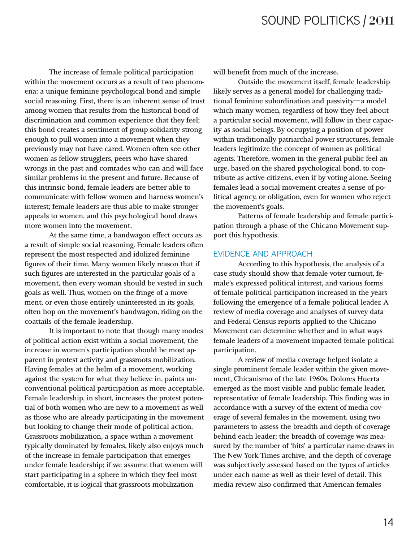The increase of female political participation within the movement occurs as a result of two phenomena: a unique feminine psychological bond and simple social reasoning. First, there is an inherent sense of trust among women that results from the historical bond of discrimination and common experience that they feel; this bond creates a sentiment of group solidarity strong enough to pull women into a movement when they previously may not have cared. Women often see other women as fellow strugglers, peers who have shared wrongs in the past and comrades who can and will face similar problems in the present and future. Because of this intrinsic bond, female leaders are better able to communicate with fellow women and harness women's interest; female leaders are thus able to make stronger appeals to women, and this psychological bond draws more women into the movement.

At the same time, a bandwagon effect occurs as a result of simple social reasoning. Female leaders often represent the most respected and idolized feminine figures of their time. Many women likely reason that if such figures are interested in the particular goals of a movement, then every woman should be vested in such goals as well. Thus, women on the fringe of a movement, or even those entirely uninterested in its goals, often hop on the movement's bandwagon, riding on the coattails of the female leadership.

It is important to note that though many modes of political action exist within a social movement, the increase in women's participation should be most apparent in protest activity and grassroots mobilization. Having females at the helm of a movement, working against the system for what they believe in, paints unconventional political participation as more acceptable. Female leadership, in short, increases the protest potential of both women who are new to a movement as well as those who are already participating in the movement but looking to change their mode of political action. Grassroots mobilization, a space within a movement typically dominated by females, likely also enjoys much of the increase in female participation that emerges under female leadership; if we assume that women will start participating in a sphere in which they feel most comfortable, it is logical that grassroots mobilization

will benefit from much of the increase.

Outside the movement itself, female leadership likely serves as a general model for challenging traditional feminine subordination and passivity—a model which many women, regardless of how they feel about a particular social movement, will follow in their capacity as social beings. By occupying a position of power within traditionally patriarchal power structures, female leaders legitimize the concept of women as political agents. Therefore, women in the general public feel an urge, based on the shared psychological bond, to contribute as active citizens, even if by voting alone. Seeing females lead a social movement creates a sense of political agency, or obligation, even for women who reject the movement's goals.

Patterns of female leadership and female participation through a phase of the Chicano Movement support this hypothesis.

#### EVIDENCE AND APPROACH

According to this hypothesis, the analysis of a case study should show that female voter turnout, female's expressed political interest, and various forms of female political participation increased in the years following the emergence of a female political leader. A review of media coverage and analyses of survey data and Federal Census reports applied to the Chicano Movement can determine whether and in what ways female leaders of a movement impacted female political participation.

A review of media coverage helped isolate a single prominent female leader within the given movement, Chicanismo of the late 1960s. Dolores Huerta emerged as the most visible and public female leader, representative of female leadership. This finding was in accordance with a survey of the extent of media coverage of several females in the movement, using two parameters to assess the breadth and depth of coverage behind each leader; the breadth of coverage was measured by the number of 'hits' a particular name draws in The New York Times archive, and the depth of coverage was subjectively assessed based on the types of articles under each name as well as their level of detail. This media review also confirmed that American females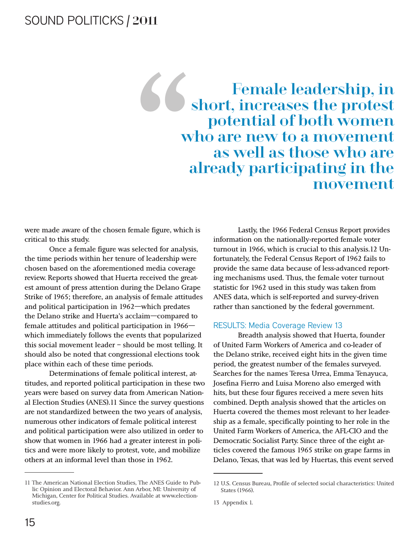Female leadership, in short, increases the protest potential of both women who are new to a movement as well as those who are already participating in the " movement

were made aware of the chosen female figure, which is critical to this study.

Once a female figure was selected for analysis, the time periods within her tenure of leadership were chosen based on the aforementioned media coverage review. Reports showed that Huerta received the greatest amount of press attention during the Delano Grape Strike of 1965; therefore, an analysis of female attitudes and political participation in 1962—which predates the Delano strike and Huerta's acclaim—compared to female attitudes and political participation in 1966 which immediately follows the events that popularized this social movement leader – should be most telling. It should also be noted that congressional elections took place within each of these time periods.

Determinations of female political interest, attitudes, and reported political participation in these two years were based on survey data from American National Election Studies (ANES).11 Since the survey questions are not standardized between the two years of analysis, numerous other indicators of female political interest and political participation were also utilized in order to show that women in 1966 had a greater interest in politics and were more likely to protest, vote, and mobilize others at an informal level than those in 1962.

11 The American National Election Studies, The ANES Guide to Public Opinion and Electoral Behavior. Ann Arbor, MI: University of Michigan, Center for Political Studies. Available at www.electionstudies.org.

Lastly, the 1966 Federal Census Report provides information on the nationally-reported female voter turnout in 1966, which is crucial to this analysis.12 Unfortunately, the Federal Census Report of 1962 fails to provide the same data because of less-advanced reporting mechanisms used. Thus, the female voter turnout statistic for 1962 used in this study was taken from ANES data, which is self-reported and survey-driven rather than sanctioned by the federal government.

#### RESULTS: Media Coverage Review 13

Breadth analysis showed that Huerta, founder of United Farm Workers of America and co-leader of the Delano strike, received eight hits in the given time period, the greatest number of the females surveyed. Searches for the names Teresa Urrea, Emma Tenayuca, Josefina Fierro and Luisa Moreno also emerged with hits, but these four figures received a mere seven hits combined. Depth analysis showed that the articles on Huerta covered the themes most relevant to her leadership as a female, specifically pointing to her role in the United Farm Workers of America, the AFL-CIO and the Democratic Socialist Party. Since three of the eight articles covered the famous 1965 strike on grape farms in Delano, Texas, that was led by Huertas, this event served

<sup>12</sup> U.S. Census Bureau, Profile of selected social characteristics: United States (1966).

<sup>13</sup> Appendix 1.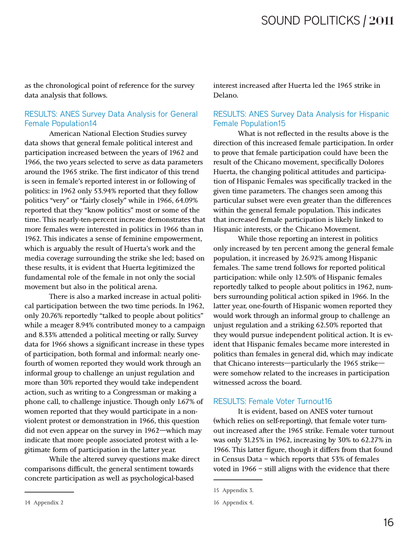as the chronological point of reference for the survey data analysis that follows.

#### RESULTS: ANES Survey Data Analysis for General Female Population14

American National Election Studies survey data shows that general female political interest and participation increased between the years of 1962 and 1966, the two years selected to serve as data parameters around the 1965 strike. The first indicator of this trend is seen in female's reported interest in or following of politics: in 1962 only 53.94% reported that they follow politics "very" or "fairly closely" while in 1966, 64.09% reported that they "know politics" most or some of the time. This nearly-ten-percent increase demonstrates that more females were interested in politics in 1966 than in 1962. This indicates a sense of feminine empowerment, which is arguably the result of Huerta's work and the media coverage surrounding the strike she led; based on these results, it is evident that Huerta legitimized the fundamental role of the female in not only the social movement but also in the political arena.

There is also a marked increase in actual political participation between the two time periods. In 1962, only 20.76% reportedly "talked to people about politics" while a meager 8.94% contributed money to a campaign and 8.33% attended a political meeting or rally. Survey data for 1966 shows a significant increase in these types of participation, both formal and informal: nearly onefourth of women reported they would work through an informal group to challenge an unjust regulation and more than 30% reported they would take independent action, such as writing to a Congressman or making a phone call, to challenge injustice. Though only 1.67% of women reported that they would participate in a nonviolent protest or demonstration in 1966, this question did not even appear on the survey in 1962—which may indicate that more people associated protest with a legitimate form of participation in the latter year.

While the altered survey questions make direct comparisons difficult, the general sentiment towards concrete participation as well as psychological-based

interest increased after Huerta led the 1965 strike in Delano.

#### RESULTS: ANES Survey Data Analysis for Hispanic Female Population15

What is not reflected in the results above is the direction of this increased female participation. In order to prove that female participation could have been the result of the Chicano movement, specifically Dolores Huerta, the changing political attitudes and participation of Hispanic Females was specifically tracked in the given time parameters. The changes seen among this particular subset were even greater than the differences within the general female population. This indicates that increased female participation is likely linked to Hispanic interests, or the Chicano Movement.

While those reporting an interest in politics only increased by ten percent among the general female population, it increased by 26.92% among Hispanic females. The same trend follows for reported political participation: while only 12.50% of Hispanic females reportedly talked to people about politics in 1962, numbers surrounding political action spiked in 1966. In the latter year, one-fourth of Hispanic women reported they would work through an informal group to challenge an unjust regulation and a striking 62.50% reported that they would pursue independent political action. It is evident that Hispanic females became more interested in politics than females in general did, which may indicate that Chicano interests—particularly the 1965 strike were somehow related to the increases in participation witnessed across the board.

#### RESULTS: Female Voter Turnout16

It is evident, based on ANES voter turnout (which relies on self-reporting), that female voter turnout increased after the 1965 strike. Female voter turnout was only 31.25% in 1962, increasing by 30% to 62.27% in 1966. This latter figure, though it differs from that found in Census Data – which reports that 53% of females voted in 1966 – still aligns with the evidence that there

<sup>15</sup> Appendix 3.

<sup>16</sup> Appendix 4.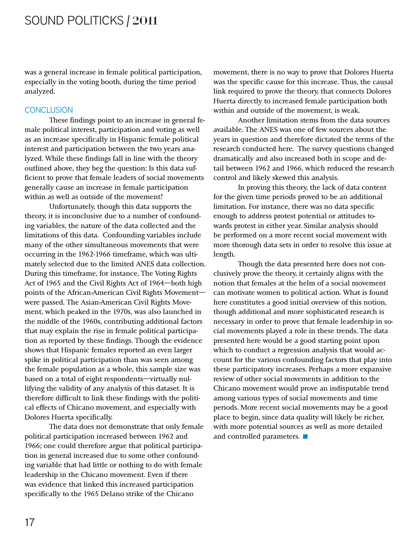was a general increase in female political participation, especially in the voting booth, during the time period analyzed.

#### **CONCLUSION**

These findings point to an increase in general female political interest, participation and voting as well as an increase specifically in Hispanic female political interest and participation between the two years analyzed. While these findings fall in line with the theory outlined above, they beg the question: Is this data sufficient to prove that female leaders of social movements generally cause an increase in female participation within as well as outside of the movement?

Unfortunately, though this data supports the theory, it is inconclusive due to a number of confounding variables, the nature of the data collected and the limitations of this data. Confounding variables include many of the other simultaneous movements that were occurring in the 1962-1966 timeframe, which was ultimately selected due to the limited ANES data collection. During this timeframe, for instance, The Voting Rights Act of 1965 and the Civil Rights Act of 1964—both high points of the African-American Civil Rights Movement were passed. The Asian-American Civil Rights Movement, which peaked in the 1970s, was also launched in the middle of the 1960s, contributing additional factors that may explain the rise in female political participation as reported by these findings. Though the evidence shows that Hispanic females reported an even larger spike in political participation than was seen among the female population as a whole, this sample size was based on a total of eight respondents—virtually nullifying the validity of any analysis of this dataset. It is therefore difficult to link these findings with the political effects of Chicano movement, and especially with Dolores Huerta specifically.

The data does not demonstrate that only female political participation increased between 1962 and 1966; one could therefore argue that political participation in general increased due to some other confounding variable that had little or nothing to do with female leadership in the Chicano movement. Even if there was evidence that linked this increased participation specifically to the 1965 Delano strike of the Chicano

movement, there is no way to prove that Dolores Huerta was the specific cause for this increase. Thus, the causal link required to prove the theory, that connects Dolores Huerta directly to increased female participation both within and outside of the movement, is weak.

Another limitation stems from the data sources available. The ANES was one of few sources about the years in question and therefore dictated the terms of the research conducted here. The survey questions changed dramatically and also increased both in scope and detail between 1962 and 1966, which reduced the research control and likely skewed this analysis.

In proving this theory, the lack of data content for the given time periods proved to be an additional limitation. For instance, there was no data specific enough to address protest potential or attitudes towards protest in either year. Similar analysis should be performed on a more recent social movement with more thorough data sets in order to resolve this issue at length.

Though the data presented here does not conclusively prove the theory, it certainly aligns with the notion that females at the helm of a social movement can motivate women to political action. What is found here constitutes a good initial overview of this notion, though additional and more sophisticated research is necessary in order to prove that female leadership in social movements played a role in these trends. The data presented here would be a good starting point upon which to conduct a regression analysis that would account for the various confounding factors that play into these participatory increases. Perhaps a more expansive review of other social movements in addition to the Chicano movement would prove an indisputable trend among various types of social movements and time periods. More recent social movements may be a good place to begin, since data quality will likely be richer,<br>with more potential sources as well as more detailed<br>and controlled parameters. with more potential sources as well as more detailed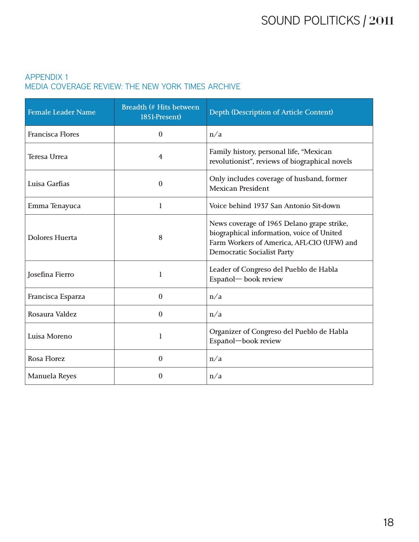#### APPENDIX 1 MEDIA COVERAGE REVIEW: THE NEW YORK TIMES ARCHIVE

| <b>Female Leader Name</b> | Breadth (# Hits between<br>1851-Present) | Depth (Description of Article Content)                                                                                                                                     |  |  |
|---------------------------|------------------------------------------|----------------------------------------------------------------------------------------------------------------------------------------------------------------------------|--|--|
| <b>Francisca Flores</b>   | $\mathbf{0}$                             | n/a                                                                                                                                                                        |  |  |
| Teresa Urrea              | $\overline{4}$                           | Family history, personal life, "Mexican<br>revolutionist", reviews of biographical novels                                                                                  |  |  |
| Luisa Garfias             | 0                                        | Only includes coverage of husband, former<br><b>Mexican President</b>                                                                                                      |  |  |
| Emma Tenayuca             | l                                        | Voice behind 1937 San Antonio Sit-down                                                                                                                                     |  |  |
| <b>Dolores Huerta</b>     | 8                                        | News coverage of 1965 Delano grape strike,<br>biographical information, voice of United<br>Farm Workers of America, AFL-CIO (UFW) and<br><b>Democratic Socialist Party</b> |  |  |
| Josefina Fierro           | 1                                        | Leader of Congreso del Pueblo de Habla<br>Español-book review                                                                                                              |  |  |
| Francisca Esparza         | $\boldsymbol{0}$                         | n/a                                                                                                                                                                        |  |  |
| Rosaura Valdez            | $\boldsymbol{0}$                         | n/a                                                                                                                                                                        |  |  |
| Luisa Moreno              | 1                                        | Organizer of Congreso del Pueblo de Habla<br>Español-book review                                                                                                           |  |  |
| Rosa Florez               | $\boldsymbol{0}$                         | n/a                                                                                                                                                                        |  |  |
| Manuela Reyes             | 0                                        | n/a                                                                                                                                                                        |  |  |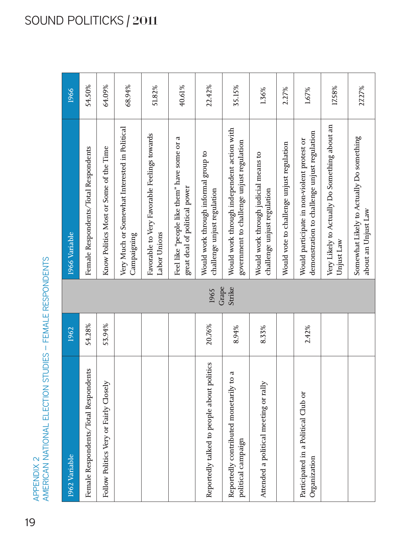APPENDIX 2<br>AMERICAN NATIONAL ELECTION STUDIES - FEMALE RESPONDENTS AMERICAN NATIONAL ELECTION STUDIES — FEMALE RESPONDENTSAPPENDIX 2

| 1962 Variable                                                | 1962   |               | 1966 Variable                                                                               | 1966   |
|--------------------------------------------------------------|--------|---------------|---------------------------------------------------------------------------------------------|--------|
| Female Respondents/Total Respondents                         | 54.28% |               | Female Respondents/Total Respondents                                                        | 54.50% |
| Follow Politics Very or Fairly Closely                       | 53.94% |               | Know Politics Most or Some of the Time                                                      | 64.09% |
|                                                              |        |               | Very Much or Somewhat Interested in Political<br>Campaigning                                | 68.94% |
|                                                              |        |               | Favorable to Very Favorable Feelings towards<br>Labor Unions                                | 51.82% |
|                                                              |        |               | Feel like "people like them" have some or a<br>great deal of political power                | 40.61% |
| Reportedly talked to people about politics                   | 20.76% | Grape<br>1965 | Would work through informal group to<br>challenge unjust regulation                         | 22.42% |
| Reportedly contributed monetarily to a<br>political campaign | 8.94%  | Strike        | Would work through independent action with<br>government to challenge unjust regulation     | 35.15% |
| Attended a political meeting or rally                        | 8.33%  |               | Would work through judicial means to<br>challenge unjust regulation                         | 1.36%  |
|                                                              |        |               | Would vote to challenge unjust regulation                                                   | 2.27%  |
| Participated in a Political Club or<br>Organization          | 2.42%  |               | demonstration to challenge unjust regulation<br>Would participate in non-violent protest or | 1.67%  |
|                                                              |        |               | Very Likely to Actually Do Something about an<br>Unjust Law                                 | 17.58% |
|                                                              |        |               | Somewhat Likely to Actually Do something<br>about an Unjust Law                             | 27.27% |
|                                                              |        |               |                                                                                             |        |

# SOUND POLITICKS / 2011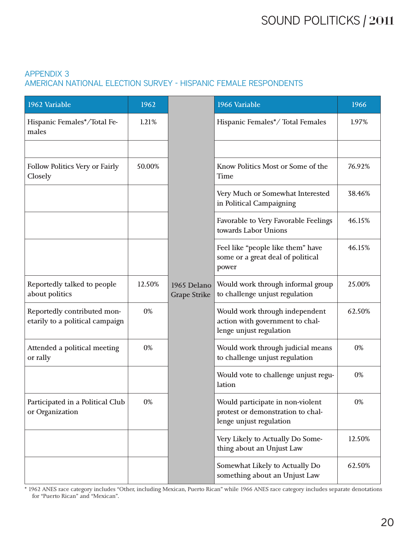#### APPENDIX 3 AMERICAN NATIONAL ELECTION SURVEY - HISPANIC FEMALE RESPONDENTS

| 1962 Variable                                                  | 1962   |                                                               | 1966 Variable                                                                                    | 1966   |
|----------------------------------------------------------------|--------|---------------------------------------------------------------|--------------------------------------------------------------------------------------------------|--------|
| Hispanic Females*/Total Fe-<br>males                           | 1.21%  |                                                               | Hispanic Females*/Total Females                                                                  | 1.97%  |
|                                                                |        |                                                               |                                                                                                  |        |
| Follow Politics Very or Fairly<br>Closely                      | 50.00% |                                                               | Know Politics Most or Some of the<br>Time                                                        | 76.92% |
|                                                                |        |                                                               | Very Much or Somewhat Interested<br>in Political Campaigning                                     | 38.46% |
|                                                                |        |                                                               | Favorable to Very Favorable Feelings<br>towards Labor Unions                                     | 46.15% |
|                                                                |        |                                                               | Feel like "people like them" have<br>some or a great deal of political<br>power                  | 46.15% |
| Reportedly talked to people<br>about politics                  | 12.50% | 1965 Delano<br><b>Grape Strike</b>                            | Would work through informal group<br>to challenge unjust regulation                              | 25.00% |
| Reportedly contributed mon-<br>etarily to a political campaign | 0%     |                                                               | Would work through independent<br>action with government to chal-<br>lenge unjust regulation     |        |
| Attended a political meeting<br>or rally                       | 0%     |                                                               | Would work through judicial means<br>to challenge unjust regulation                              |        |
|                                                                |        |                                                               | Would vote to challenge unjust regu-<br>lation                                                   | 0%     |
| Participated in a Political Club<br>or Organization            | 0%     |                                                               | Would participate in non-violent<br>protest or demonstration to chal-<br>lenge unjust regulation | 0%     |
|                                                                |        | Very Likely to Actually Do Some-<br>thing about an Unjust Law |                                                                                                  | 12.50% |
|                                                                |        |                                                               | Somewhat Likely to Actually Do<br>something about an Unjust Law                                  | 62.50% |

\* 1962 ANES race category includes "Other, including Mexican, Puerto Rican" while 1966 ANES race category includes separate denotations for "Puerto Rican" and "Mexican".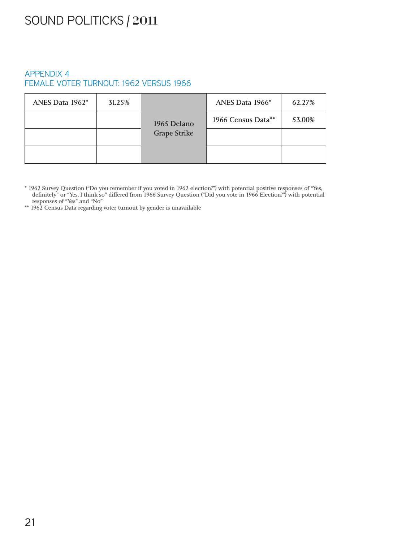#### APPENDIX 4 FEMALE VOTER TURNOUT: 1962 VERSUS 1966

| ANES Data 1962* | 31.25% |                     | ANES Data 1966*    | 62.27% |
|-----------------|--------|---------------------|--------------------|--------|
|                 |        | 1965 Delano         | 1966 Census Data** | 53.00% |
|                 |        | <b>Grape Strike</b> |                    |        |
|                 |        |                     |                    |        |

\* 1962 Survey Question ("Do you remember if you voted in 1962 election?") with potential positive responses of "Yes, definitely" or "Yes, I think so" differed from 1966 Survey Question ("Did you vote in 1966 Election?") with potential responses of "Yes" and "No"

\*\* 1962 Census Data regarding voter turnout by gender is unavailable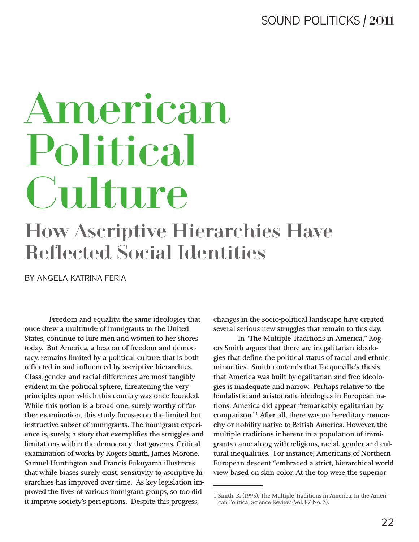# American Political Culture

# How Ascriptive Hierarchies Have Reflected Social Identities

BY ANGELA KATRINA FERIA

Freedom and equality, the same ideologies that once drew a multitude of immigrants to the United States, continue to lure men and women to her shores today. But America, a beacon of freedom and democracy, remains limited by a political culture that is both reflected in and influenced by ascriptive hierarchies. Class, gender and racial differences are most tangibly evident in the political sphere, threatening the very principles upon which this country was once founded. While this notion is a broad one, surely worthy of further examination, this study focuses on the limited but instructive subset of immigrants. The immigrant experience is, surely, a story that exemplifies the struggles and limitations within the democracy that governs. Critical examination of works by Rogers Smith, James Morone, Samuel Huntington and Francis Fukuyama illustrates that while biases surely exist, sensitivity to ascriptive hierarchies has improved over time. As key legislation improved the lives of various immigrant groups, so too did it improve society's perceptions. Despite this progress,

changes in the socio-political landscape have created several serious new struggles that remain to this day.

In "The Multiple Traditions in America," Rogers Smith argues that there are inegalitarian ideologies that define the political status of racial and ethnic minorities. Smith contends that Tocqueville's thesis that America was built by egalitarian and free ideologies is inadequate and narrow. Perhaps relative to the feudalistic and aristocratic ideologies in European nations, America did appear "remarkably egalitarian by comparison."1 After all, there was no hereditary monarchy or nobility native to British America. However, the multiple traditions inherent in a population of immigrants came along with religious, racial, gender and cultural inequalities. For instance, Americans of Northern European descent "embraced a strict, hierarchical world view based on skin color. At the top were the superior

<sup>1</sup> Smith, R. (1993). The Multiple Traditions in America. In the American Political Science Review (Vol. 87 No. 3).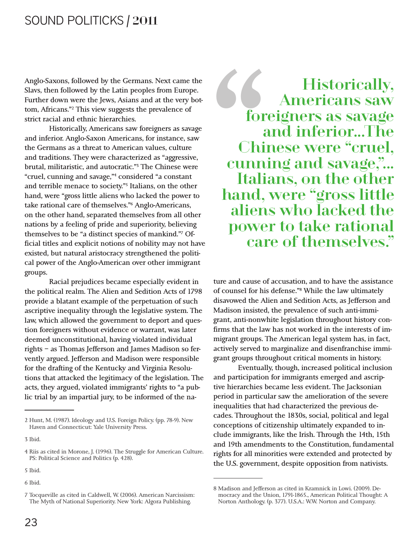Slavs, then followed by the Latin peoples from Europe. Further down were the Jews, Asians and at the very bottom, Africans."2 This view suggests the prevalence of strict racial and ethnic hierarchies.

Anglo-Saxons, followed by the Germans. Next came the<br>Slavs, then followed by the Latin peoples from Europe.<br>Further down were the Jews, Asians and at the very bot-<br>tom, Africans."<sup>2</sup> This view suggests the prevalence of<br>st Historically, Americans saw foreigners as savage and inferior. Anglo-Saxon Americans, for instance, saw the Germans as a threat to American values, culture and traditions. They were characterized as "aggressive, brutal, militaristic, and autocratic."3 The Chinese were "cruel, cunning and savage,"4 considered "a constant and terrible menace to society."5 Italians, on the other hand, were "gross little aliens who lacked the power to take rational care of themselves."6 Anglo-Americans, on the other hand, separated themselves from all other nations by a feeling of pride and superiority, believing themselves to be "a distinct species of mankind."7 Official titles and explicit notions of nobility may not have existed, but natural aristocracy strengthened the political power of the Anglo-American over other immigrant groups.

Racial prejudices became especially evident in the political realm. The Alien and Sedition Acts of 1798 provide a blatant example of the perpetuation of such ascriptive inequality through the legislative system. The law, which allowed the government to deport and question foreigners without evidence or warrant, was later deemed unconstitutional, having violated individual rights – as Thomas Jefferson and James Madison so fervently argued. Jefferson and Madison were responsible for the drafting of the Kentucky and Virginia Resolutions that attacked the legitimacy of the legislation. The acts, they argued, violated immigrants' rights to "a public trial by an impartial jury, to be informed of the na-

3 Ibid.

Historically, Americans saw foreigners as savage and inferior...The Chinese were "cruel, cunning and savage,"... Italians, on the other hand, were "gross little aliens who lacked the power to take rational care of themselves."

ture and cause of accusation, and to have the assistance of counsel for his defense."8 While the law ultimately disavowed the Alien and Sedition Acts, as Jefferson and Madison insisted, the prevalence of such anti-immigrant, anti-nonwhite legislation throughout history confirms that the law has not worked in the interests of immigrant groups. The American legal system has, in fact, actively served to marginalize and disenfranchise immigrant groups throughout critical moments in history.

Eventually, though, increased political inclusion and participation for immigrants emerged and ascriptive hierarchies became less evident. The Jacksonian period in particular saw the amelioration of the severe inequalities that had characterized the previous decades. Throughout the 1830s, social, political and legal conceptions of citizenship ultimately expanded to include immigrants, like the Irish. Through the 14th, 15th and 19th amendments to the Constitution, fundamental rights for all minorities were extended and protected by the U.S. government, despite opposition from nativists.

<sup>2</sup> Hunt, M. (1987). Ideology and U.S. Foreign Policy. (pp. 78-9). New Haven and Connecticut: Yale University Press.

<sup>4</sup> Riis as cited in Morone, J. (1996). The Struggle for American Culture. PS: Political Science and Politics (p. 428).

<sup>5</sup> Ibid.

<sup>6</sup> Ibid.

<sup>7</sup> Tocqueville as cited in Caldwell, W. (2006). American Narcissism: The Myth of National Superiority. New York: Algora Publishing.

<sup>8</sup> Madison and Jefferson as cited in Kramnick in Lowi. (2009). Democracy and the Union, 1791-1865., American Political Thought: A Norton Anthology. (p. 377). U.S.A.: W.W. Norton and Company.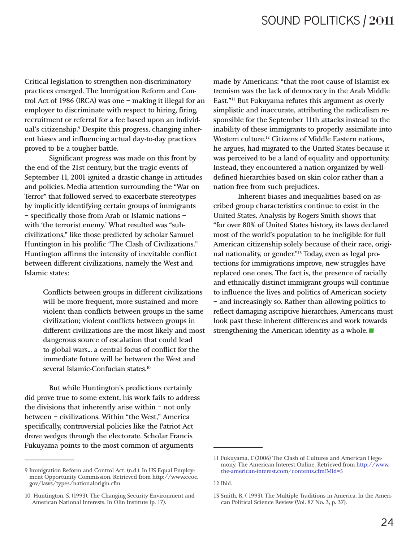Critical legislation to strengthen non-discriminatory practices emerged. The Immigration Reform and Control Act of 1986 (IRCA) was one – making it illegal for an employer to discriminate with respect to hiring, firing, recruitment or referral for a fee based upon an individual's citizenship.9 Despite this progress, changing inherent biases and influencing actual day-to-day practices proved to be a tougher battle.

Significant progress was made on this front by the end of the 21st century, but the tragic events of September 11, 2001 ignited a drastic change in attitudes and policies. Media attention surrounding the "War on Terror" that followed served to exacerbate stereotypes by implicitly identifying certain groups of immigrants – specifically those from Arab or Islamic nations – with 'the terrorist enemy.' What resulted was "subcivilizations," like those predicted by scholar Samuel Huntington in his prolific "The Clash of Civilizations." Huntington affirms the intensity of inevitable conflict between different civilizations, namely the West and Islamic states:

> Conflicts between groups in different civilizations will be more frequent, more sustained and more violent than conflicts between groups in the same civilization; violent conflicts between groups in different civilizations are the most likely and most dangerous source of escalation that could lead to global wars... a central focus of conflict for the immediate future will be between the West and several Islamic-Confucian states.<sup>10</sup>

But while Huntington's predictions certainly did prove true to some extent, his work fails to address the divisions that inherently arise within – not only between – civilizations. Within "the West," America specifically, controversial policies like the Patriot Act drove wedges through the electorate. Scholar Francis Fukuyama points to the most common of arguments

made by Americans: "that the root cause of Islamist extremism was the lack of democracy in the Arab Middle East."11 But Fukuyama refutes this argument as overly simplistic and inaccurate, attributing the radicalism responsible for the September 11th attacks instead to the inability of these immigrants to properly assimilate into Western culture.12 Citizens of Middle Eastern nations, he argues, had migrated to the United States because it was perceived to be a land of equality and opportunity. Instead, they encountered a nation organized by welldefined hierarchies based on skin color rather than a nation free from such prejudices.

Inherent biases and inequalities based on ascribed group characteristics continue to exist in the United States. Analysis by Rogers Smith shows that "for over 80% of United States history, its laws declared most of the world's population to be ineligible for full American citizenship solely because of their race, original nationality, or gender."13 Today, even as legal protections for immigrations improve, new struggles have replaced one ones. The fact is, the presence of racially and ethnically distinct immigrant groups will continue to influence the lives and politics of American society – and increasingly so. Rather than allowing politics to reflect damaging ascriptive hierarchies, Americans must look past these inherent differences and work towards reflect damaging ascriptive hierarchies, Americans<br>look past these inherent differences and work towa<br>strengthening the American identity as a whole.

<sup>9</sup> Immigration Reform and Control Act. (n.d.). In US Equal Employment Opportunity Commission. Retrieved from http://www.eeoc. gov/laws/types/nationalorigin.cfm

<sup>10</sup> Huntington, S. (1993). The Changing Security Environment and American National Interests. In Olin Institute (p. 17).

<sup>11</sup> Fukuyama, F. (2006) The Clash of Cultures and American Hegemony. The American Interest Online. Retrieved from http://www. the-american-interest.com/contents.cfm?MId=5

<sup>12</sup> Ibid.

<sup>13</sup> Smith, R. ( 1993). The Multiple Traditions in America. In the American Political Science Review (Vol. 87 No. 3, p. 37).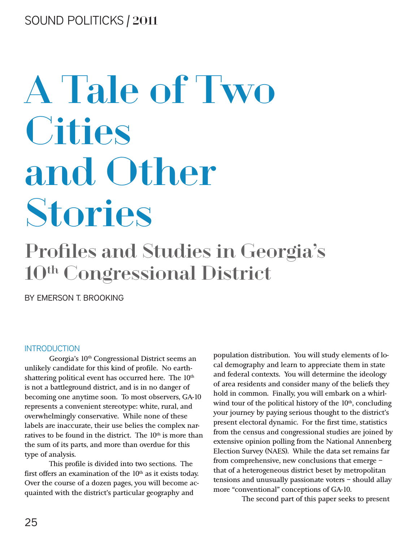# A Tale of Two **Cities** and Other Stories

# Profiles and Studies in Georgia's 10th Congressional District

BY EMERSON T. BROOKING

#### INTRODUCTION

Georgia's 10th Congressional District seems an unlikely candidate for this kind of profile. No earthshattering political event has occurred here. The 10<sup>th</sup> is not a battleground district, and is in no danger of becoming one anytime soon. To most observers, GA-10 represents a convenient stereotype: white, rural, and overwhelmingly conservative. While none of these labels are inaccurate, their use belies the complex narratives to be found in the district. The  $10<sup>th</sup>$  is more than the sum of its parts, and more than overdue for this type of analysis.

This profile is divided into two sections. The first offers an examination of the  $10<sup>th</sup>$  as it exists today. Over the course of a dozen pages, you will become acquainted with the district's particular geography and

population distribution. You will study elements of local demography and learn to appreciate them in state and federal contexts. You will determine the ideology of area residents and consider many of the beliefs they hold in common. Finally, you will embark on a whirlwind tour of the political history of the  $10<sup>th</sup>$ , concluding your journey by paying serious thought to the district's present electoral dynamic. For the first time, statistics from the census and congressional studies are joined by extensive opinion polling from the National Annenberg Election Survey (NAES). While the data set remains far from comprehensive, new conclusions that emerge – that of a heterogeneous district beset by metropolitan tensions and unusually passionate voters – should allay more "conventional" conceptions of GA-10.

The second part of this paper seeks to present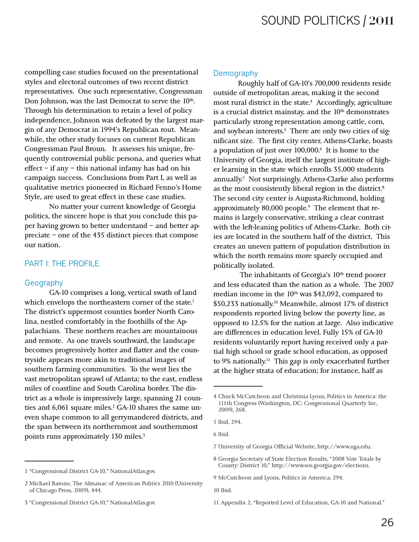compelling case studies focused on the presentational styles and electoral outcomes of two recent district representatives. One such representative, Congressman Don Johnson, was the last Democrat to serve the 10<sup>th</sup>. Through his determination to retain a level of policy independence, Johnson was defeated by the largest margin of any Democrat in 1994's Republican rout. Meanwhile, the other study focuses on current Republican Congressman Paul Broun. It assesses his unique, frequently controversial public persona, and queries what effect – if any – this national infamy has had on his campaign success. Conclusions from Part I, as well as qualitative metrics pioneered in Richard Fenno's Home Style, are used to great effect in these case studies.

No matter your current knowledge of Georgia politics, the sincere hope is that you conclude this paper having grown to better understand – and better appreciate – one of the 435 distinct pieces that compose our nation.

#### PART I: THE PROFILE

#### **Geography**

GA-10 comprises a long, vertical swath of land which envelops the northeastern corner of the state.<sup>1</sup> The district's uppermost counties border North Carolina, nestled comfortably in the foothills of the Appalachians. These northern reaches are mountainous and remote. As one travels southward, the landscape becomes progressively hotter and flatter and the countryside appears more akin to traditional images of southern farming communities. To the west lies the vast metropolitan sprawl of Atlanta; to the east, endless miles of coastline and South Carolina border. The district as a whole is impressively large, spanning 21 counties and 6,061 square miles.<sup>2</sup> GA-10 shares the same uneven shape common to all gerrymandered districts, and the span between its northernmost and southernmost points runs approximately 130 miles.<sup>3</sup>

#### Demography

Roughly half of GA-10's 700,000 residents reside outside of metropolitan areas, making it the second most rural district in the state.<sup>4</sup> Accordingly, agriculture is a crucial district mainstay, and the  $10<sup>th</sup>$  demonstrates particularly strong representation among cattle, corn, and soybean interests.<sup>5</sup> There are only two cities of significant size. The first city center, Athens-Clarke, boasts a population of just over 100,000.6 It is home to the University of Georgia, itself the largest institute of higher learning in the state which enrolls 35,000 students annually.7 Not surprisingly, Athens-Clarke also performs as the most consistently liberal region in the district.<sup>8</sup> The second city center is Augusta-Richmond, holding approximately 80,000 people.<sup>9</sup> The element that remains is largely conservative, striking a clear contrast with the left-leaning politics of Athens-Clarke. Both cities are located in the southern half of the district. This creates an uneven pattern of population distribution in which the north remains more sparely occupied and politically isolated.

The inhabitants of Georgia's 10<sup>th</sup> trend poorer and less educated than the nation as a whole. The 2007 median income in the  $10<sup>th</sup>$  was \$42,092, compared to \$50,233 nationally.10 Meanwhile, almost 17% of district respondents reported living below the poverty line, as opposed to 12.5% for the nation at large. Also indicative are differences in education level. Fully 15% of GA-10 residents voluntarily report having received only a partial high school or grade school education, as opposed to 9% nationally.11 This gap is only exacerbated further at the higher strata of education; for instance, half as

6 Ibid.

<sup>1 &</sup>quot;Congressional District GA-10," NationalAtlas.gov.

<sup>2</sup> Michael Barone, The Almanac of American Politics 2010 (University of Chicago Press, 2009), 444.

<sup>3 &</sup>quot;Congressional District GA-10," NationalAtlas.gov.

<sup>4</sup> Chuck McCutcheon and Christinia Lyons, Politics in America: the 111th Congress (Washington, DC: Congressional Quarterly Inc, 2009), 268.

<sup>5</sup> Ibid, 294.

<sup>7</sup> University of Georgia Official Website, http://www.uga.edu.

<sup>8</sup> Georgia Secretary of State Election Results, "2008 Vote Totals by County: District 10," http://www.sos.georgia.gov/elections.

<sup>9</sup> McCutcheon and Lyons, Politics in America, 294.

<sup>10</sup> Ibid.

<sup>11</sup> Appendix 2, "Reported Level of Education, GA-10 and National."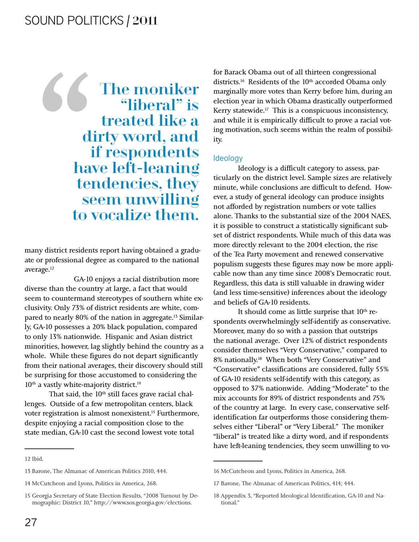The moniker "liberal" is treated like a dirty word, and if respondents have left-leaning tendencies, they seem unwilling to vocalize them. "

many district residents report having obtained a graduate or professional degree as compared to the national average.<sup>12</sup>

GA-10 enjoys a racial distribution more diverse than the country at large, a fact that would seem to countermand stereotypes of southern white exclusivity. Only 73% of district residents are white, compared to nearly 80% of the nation in aggregate.<sup>13</sup> Similarly, GA-10 possesses a 20% black population, compared to only 13% nationwide. Hispanic and Asian district minorities, however, lag slightly behind the country as a whole. While these figures do not depart significantly from their national averages, their discovery should still be surprising for those accustomed to considering the 10<sup>th</sup> a vastly white-majority district.<sup>14</sup>

That said, the  $10<sup>th</sup>$  still faces grave racial challenges. Outside of a few metropolitan centers, black voter registration is almost nonexistent.<sup>15</sup> Furthermore, despite enjoying a racial composition close to the state median, GA-10 cast the second lowest vote total

for Barack Obama out of all thirteen congressional districts.<sup>16</sup> Residents of the 10<sup>th</sup> accorded Obama only marginally more votes than Kerry before him, during an election year in which Obama drastically outperformed Kerry statewide.<sup>17</sup> This is a conspicuous inconsistency, and while it is empirically difficult to prove a racial voting motivation, such seems within the realm of possibility.

#### Ideology

Ideology is a difficult category to assess, particularly on the district level. Sample sizes are relatively minute, while conclusions are difficult to defend. However, a study of general ideology can produce insights not afforded by registration numbers or vote tallies alone. Thanks to the substantial size of the 2004 NAES, it is possible to construct a statistically significant subset of district respondents. While much of this data was more directly relevant to the 2004 election, the rise of the Tea Party movement and renewed conservative populism suggests these figures may now be more applicable now than any time since 2008's Democratic rout. Regardless, this data is still valuable in drawing wider (and less time-sensitive) inferences about the ideology and beliefs of GA-10 residents.

It should come as little surprise that  $10<sup>th</sup>$  respondents overwhelmingly self-identify as conservative. Moreover, many do so with a passion that outstrips the national average. Over 12% of district respondents consider themselves "Very Conservative," compared to 8% nationally.18 When both "Very Conservative" and "Conservative" classifications are considered, fully 55% of GA-10 residents self-identify with this category, as opposed to 37% nationwide. Adding "Moderate" to the mix accounts for 89% of district respondents and 75% of the country at large. In every case, conservative selfidentification far outperforms those considering themselves either "Liberal" or "Very Liberal." The moniker "liberal" is treated like a dirty word, and if respondents have left-leaning tendencies, they seem unwilling to vo-

<sup>12</sup> Ibid.

<sup>13</sup> Barone, The Almanac of American Politics 2010, 444.

<sup>14</sup> McCutcheon and Lyons, Politics in America, 268.

<sup>15</sup> Georgia Secretary of State Election Results, "2008 Turnout by Demographic: District 10," http://www.sos.georgia.gov/elections.

<sup>16</sup> McCutcheon and Lyons, Politics in America, 268.

<sup>17</sup> Barone, The Almanac of American Politics, 414; 444.

<sup>18</sup> Appendix 3, "Reported Ideological Identification, GA-10 and National."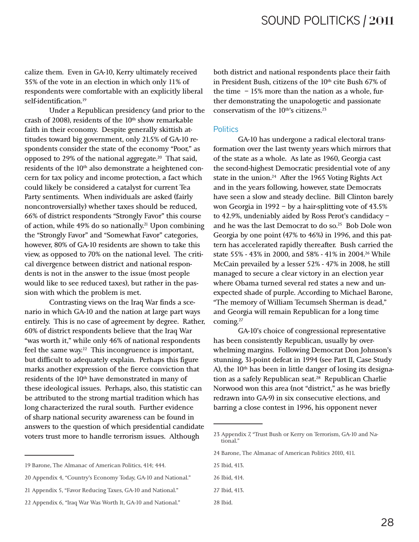calize them. Even in GA-10, Kerry ultimately received 35% of the vote in an election in which only 11% of respondents were comfortable with an explicitly liberal self-identification.<sup>19</sup>

Under a Republican presidency (and prior to the crash of 2008), residents of the 10<sup>th</sup> show remarkable faith in their economy. Despite generally skittish attitudes toward big government, only 21.5% of GA-10 respondents consider the state of the economy "Poor," as opposed to 29% of the national aggregate.<sup>20</sup> That said, residents of the 10<sup>th</sup> also demonstrate a heightened concern for tax policy and income protection, a fact which could likely be considered a catalyst for current Tea Party sentiments. When individuals are asked (fairly noncontroversially) whether taxes should be reduced, 66% of district respondents "Strongly Favor" this course of action, while 49% do so nationally.<sup>21</sup> Upon combining the "Strongly Favor" and "Somewhat Favor" categories, however, 80% of GA-10 residents are shown to take this view, as opposed to 70% on the national level. The critical divergence between district and national respondents is not in the answer to the issue (most people would like to see reduced taxes), but rather in the passion with which the problem is met.

Contrasting views on the Iraq War finds a scenario in which GA-10 and the nation at large part ways entirely. This is no case of agreement by degree. Rather, 60% of district respondents believe that the Iraq War "was worth it," while only 46% of national respondents feel the same way. $22$  This incongruence is important, but difficult to adequately explain. Perhaps this figure marks another expression of the fierce conviction that residents of the 10<sup>th</sup> have demonstrated in many of these ideological issues. Perhaps, also, this statistic can be attributed to the strong martial tradition which has long characterized the rural south. Further evidence of sharp national security awareness can be found in answers to the question of which presidential candidate voters trust more to handle terrorism issues. Although

21 Appendix 5, "Favor Reducing Taxes, GA-10 and National."

both district and national respondents place their faith in President Bush, citizens of the  $10<sup>th</sup>$  cite Bush 67% of the time  $-15\%$  more than the nation as a whole, further demonstrating the unapologetic and passionate conservatism of the  $10<sup>th</sup>$ 's citizens.<sup>23</sup>

#### **Politics**

GA-10 has undergone a radical electoral transformation over the last twenty years which mirrors that of the state as a whole. As late as 1960, Georgia cast the second-highest Democratic presidential vote of any state in the union.<sup>24</sup> After the 1965 Voting Rights Act and in the years following, however, state Democrats have seen a slow and steady decline. Bill Clinton barely won Georgia in 1992 – by a hair-splitting vote of 43.5% to 42.9%, undeniably aided by Ross Perot's candidacy – and he was the last Democrat to do so.<sup>25</sup> Bob Dole won Georgia by one point (47% to 46%) in 1996, and this pattern has accelerated rapidly thereafter. Bush carried the state 55% - 43% in 2000, and 58% - 41% in 2004.26 While McCain prevailed by a lesser 52% - 47% in 2008, he still managed to secure a clear victory in an election year where Obama turned several red states a new and unexpected shade of purple. According to Michael Barone, "The memory of William Tecumseh Sherman is dead," and Georgia will remain Republican for a long time coming.27

GA-10's choice of congressional representative has been consistently Republican, usually by overwhelming margins. Following Democrat Don Johnson's stunning, 31-point defeat in 1994 (see Part II, Case Study A), the  $10<sup>th</sup>$  has been in little danger of losing its designation as a safely Republican seat.<sup>28</sup> Republican Charlie Norwood won this area (not "district," as he was briefly redrawn into GA-9) in six consecutive elections, and barring a close contest in 1996, his opponent never

- 26 Ibid, 414.
- 27 Ibid, 413.

28 Ibid.

<sup>19</sup> Barone, The Almanac of American Politics, 414; 444.

<sup>20</sup> Appendix 4, "Country's Economy Today, GA-10 and National."

<sup>22</sup> Appendix 6, "Iraq War Was Worth It, GA-10 and National."

<sup>23</sup> Appendix 7, "Trust Bush or Kerry on Terrorism, GA-10 and National."

<sup>24</sup> Barone, The Almanac of American Politics 2010, 411.

<sup>25</sup> Ibid, 413.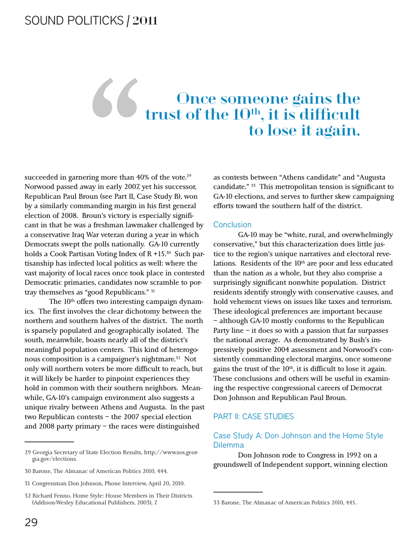# Once someone gains the trust of the  $10^{\text{th}}$ , it is difficult to lose it again. management<br>Transport Communications<br>Transport Communications<br>Communications<br>Communications<br>Communications<br>Communications<br>Communications<br>Communications<br>Communications<br>Communications<br>Communications<br>Communications<br>Communicati

succeeded in garnering more than 40% of the vote.<sup>29</sup> Norwood passed away in early 2007, yet his successor, Republican Paul Broun (see Part II, Case Study B), won by a similarly commanding margin in his first general election of 2008. Broun's victory is especially significant in that he was a freshman lawmaker challenged by a conservative Iraq War veteran during a year in which Democrats swept the polls nationally. GA-10 currently holds a Cook Partisan Voting Index of R +15.<sup>30</sup> Such partisanship has infected local politics as well: where the vast majority of local races once took place in contested Democratic primaries, candidates now scramble to portray themselves as "good Republicans." 31

The 10<sup>th</sup> offers two interesting campaign dynamics. The first involves the clear dichotomy between the northern and southern halves of the district. The north is sparsely populated and geographically isolated. The south, meanwhile, boasts nearly all of the district's meaningful population centers. This kind of heterogonous composition is a campaigner's nightmare.32 Not only will northern voters be more difficult to reach, but it will likely be harder to pinpoint experiences they hold in common with their southern neighbors. Meanwhile, GA-10's campaign environment also suggests a unique rivalry between Athens and Augusta. In the past two Republican contests – the 2007 special election and 2008 party primary – the races were distinguished

as contests between "Athens candidate" and "Augusta candidate." 33 This metropolitan tension is significant to GA-10 elections, and serves to further skew campaigning efforts toward the southern half of the district.

#### **Conclusion**

GA-10 may be "white, rural, and overwhelmingly conservative," but this characterization does little justice to the region's unique narratives and electoral revelations. Residents of the 10<sup>th</sup> are poor and less educated than the nation as a whole, but they also comprise a surprisingly significant nonwhite population. District residents identify strongly with conservative causes, and hold vehement views on issues like taxes and terrorism. These ideological preferences are important because – although GA-10 mostly conforms to the Republican Party line – it does so with a passion that far surpasses the national average. As demonstrated by Bush's impressively positive 2004 assessment and Norwood's consistently commanding electoral margins, once someone gains the trust of the  $10<sup>th</sup>$ , it is difficult to lose it again. These conclusions and others will be useful in examining the respective congressional careers of Democrat Don Johnson and Republican Paul Broun.

#### PART II: CASE STUDIES

#### Case Study A: Don Johnson and the Home Style Dilemma

Don Johnson rode to Congress in 1992 on a groundswell of Independent support, winning election

<sup>29</sup> Georgia Secretary of State Election Results, http://www.sos.georgia.gov/elections.

<sup>30</sup> Barone, The Almanac of American Politics 2010, 444.

<sup>31</sup> Congressman Don Johnson, Phone Interview, April 20, 2010.

<sup>32</sup> Richard Fenno, Home Style: House Members in Their Districts (Addison-Wesley Educational Publishers, 2003), 7.

<sup>33</sup> Barone, The Almanac of American Politics 2010, 445.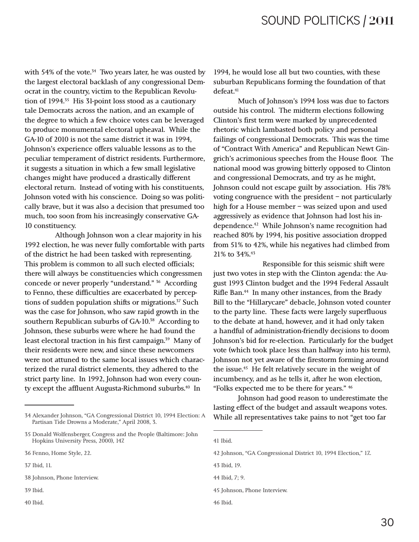with 54% of the vote. $34$  Two years later, he was ousted by the largest electoral backlash of any congressional Democrat in the country, victim to the Republican Revolution of 1994.35 His 31-point loss stood as a cautionary tale Democrats across the nation, and an example of the degree to which a few choice votes can be leveraged to produce monumental electoral upheaval. While the GA-10 of 2010 is not the same district it was in 1994, Johnson's experience offers valuable lessons as to the peculiar temperament of district residents. Furthermore, it suggests a situation in which a few small legislative changes might have produced a drastically different electoral return. Instead of voting with his constituents, Johnson voted with his conscience. Doing so was politically brave, but it was also a decision that presumed too much, too soon from his increasingly conservative GA-10 constituency.

 Although Johnson won a clear majority in his 1992 election, he was never fully comfortable with parts of the district he had been tasked with representing. This problem is common to all such elected officials; there will always be constituencies which congressmen concede or never properly "understand." 36 According to Fenno, these difficulties are exacerbated by perceptions of sudden population shifts or migrations.<sup>37</sup> Such was the case for Johnson, who saw rapid growth in the southern Republican suburbs of GA-10.<sup>38</sup> According to Johnson, these suburbs were where he had found the least electoral traction in his first campaign.39 Many of their residents were new, and since these newcomers were not attuned to the same local issues which characterized the rural district elements, they adhered to the strict party line. In 1992, Johnson had won every county except the affluent Augusta-Richmond suburbs.<sup>40</sup> In

37 Ibid, 11.

- 39 Ibid.
- 40 Ibid.

1994, he would lose all but two counties, with these suburban Republicans forming the foundation of that defeat.<sup>41</sup>

Much of Johnson's 1994 loss was due to factors outside his control. The midterm elections following Clinton's first term were marked by unprecedented rhetoric which lambasted both policy and personal failings of congressional Democrats. This was the time of "Contract With America" and Republican Newt Gingrich's acrimonious speeches from the House floor. The national mood was growing bitterly opposed to Clinton and congressional Democrats, and try as he might, Johnson could not escape guilt by association. His 78% voting congruence with the president – not particularly high for a House member – was seized upon and used aggressively as evidence that Johnson had lost his independence.42 While Johnson's name recognition had reached 80% by 1994, his positive association dropped from 51% to 42%, while his negatives had climbed from 21% to 34%.43

Responsible for this seismic shift were just two votes in step with the Clinton agenda: the August 1993 Clinton budget and the 1994 Federal Assault Rifle Ban.<sup>44</sup> In many other instances, from the Brady Bill to the "Hillarycare" debacle, Johnson voted counter to the party line. These facts were largely superfluous to the debate at hand, however, and it had only taken a handful of administration-friendly decisions to doom Johnson's bid for re-election. Particularly for the budget vote (which took place less than halfway into his term), Johnson not yet aware of the firestorm forming around the issue.45 He felt relatively secure in the weight of incumbency, and as he tells it, after he won election, "Folks expected me to be there for years." 46

Johnson had good reason to underestimate the lasting effect of the budget and assault weapons votes. While all representatives take pains to not "get too far

43 Ibid, 19.

46 Ibid.

<sup>34</sup> Alexander Johnson, "GA Congressional District 10, 1994 Election: A Partisan Tide Drowns a Moderate," April 2008, 3.

<sup>35</sup> Donald Wolfensberger, Congress and the People (Baltimore: John Hopkins University Press, 2000), 147.

<sup>36</sup> Fenno, Home Style, 22.

<sup>38</sup> Johnson, Phone Interview.

<sup>41</sup> Ibid.

<sup>42</sup> Johnson, "GA Congressional District 10, 1994 Election," 17..

<sup>44</sup> Ibid, 7; 9.

<sup>45</sup> Johnson, Phone Interview.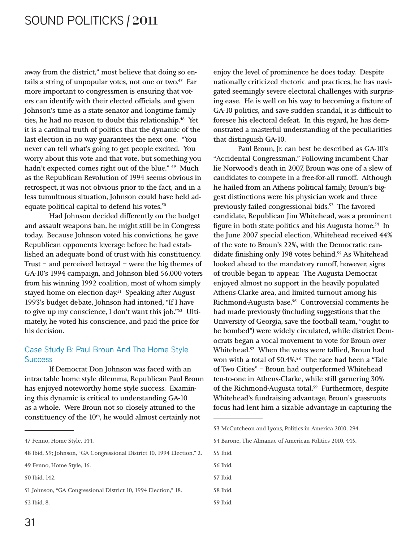away from the district," most believe that doing so entails a string of unpopular votes, not one or two.<sup>47</sup> Far more important to congressmen is ensuring that voters can identify with their elected officials, and given Johnson's time as a state senator and longtime family ties, he had no reason to doubt this relationship.<sup>48</sup> Yet it is a cardinal truth of politics that the dynamic of the last election in no way guarantees the next one. "You never can tell what's going to get people excited. You worry about this vote and that vote, but something you hadn't expected comes right out of the blue." <sup>49</sup> Much as the Republican Revolution of 1994 seems obvious in retrospect, it was not obvious prior to the fact, and in a less tumultuous situation, Johnson could have held adequate political capital to defend his votes.<sup>50</sup>

Had Johnson decided differently on the budget and assault weapons ban, he might still be in Congress today. Because Johnson voted his convictions, he gave Republican opponents leverage before he had established an adequate bond of trust with his constituency. Trust – and perceived betrayal – were the big themes of GA-10's 1994 campaign, and Johnson bled 56,000 voters from his winning 1992 coalition, most of whom simply stayed home on election day.<sup>51</sup> Speaking after August 1993's budget debate, Johnson had intoned, "If I have to give up my conscience, I don't want this job."52 Ultimately, he voted his conscience, and paid the price for his decision.

#### Case Study B: Paul Broun And The Home Style Success

If Democrat Don Johnson was faced with an intractable home style dilemma, Republican Paul Broun has enjoyed noteworthy home style success. Examining this dynamic is critical to understanding GA-10 as a whole. Were Broun not so closely attuned to the constituency of the 10<sup>th</sup>, he would almost certainly not

50 Ibid, 142.

enjoy the level of prominence he does today. Despite nationally criticized rhetoric and practices, he has navigated seemingly severe electoral challenges with surprising ease. He is well on his way to becoming a fixture of GA-10 politics, and save sudden scandal, it is difficult to foresee his electoral defeat. In this regard, he has demonstrated a masterful understanding of the peculiarities that distinguish GA-10.

Paul Broun, Jr. can best be described as GA-10's "Accidental Congressman." Following incumbent Charlie Norwood's death in 2007, Broun was one of a slew of candidates to compete in a free-for-all runoff. Although he hailed from an Athens political family, Broun's biggest distinctions were his physician work and three previously failed congressional bids.<sup>53</sup> The favored candidate, Republican Jim Whitehead, was a prominent figure in both state politics and his Augusta home.<sup>54</sup> In the June 2007 special election, Whitehead received 44% of the vote to Broun's 22%, with the Democratic candidate finishing only 198 votes behind.<sup>55</sup> As Whitehead looked ahead to the mandatory runoff, however, signs of trouble began to appear. The Augusta Democrat enjoyed almost no support in the heavily populated Athens-Clarke area, and limited turnout among his Richmond-Augusta base.56 Controversial comments he had made previously (including suggestions that the University of Georgia, save the football team, "ought to be bombed") were widely circulated, while district Democrats began a vocal movement to vote for Broun over Whitehead.57 When the votes were tallied, Broun had won with a total of 50.4%.<sup>58</sup> The race had been a "Tale of Two Cities" – Broun had outperformed Whitehead ten-to-one in Athens-Clarke, while still garnering 30% of the Richmond-Augusta total.<sup>59</sup> Furthermore, despite Whitehead's fundraising advantage, Broun's grassroots focus had lent him a sizable advantage in capturing the

- 55 Ibid.
- 56 Ibid.
- 57 Ibid.
- 58 Ibid.
- 59 Ibid.

<sup>47</sup> Fenno, Home Style, 144.

<sup>48</sup> Ibid, 59; Johnson, "GA Congressional District 10, 1994 Election," 2.

<sup>49</sup> Fenno, Home Style, 16.

<sup>51</sup> Johnson, "GA Congressional District 10, 1994 Election," 18.

<sup>52</sup> Ibid, 8.

<sup>53</sup> McCutcheon and Lyons, Politics in America 2010, 294.

<sup>54</sup> Barone, The Almanac of American Politics 2010, 445.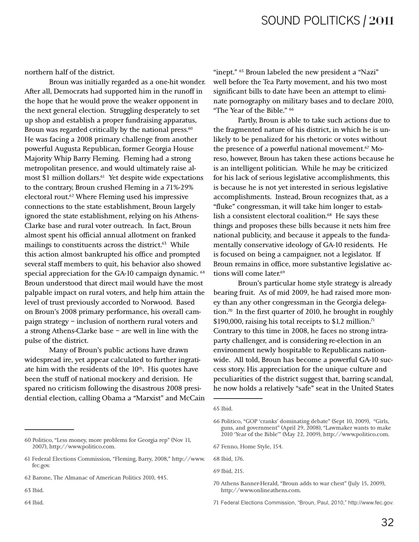northern half of the district.

Broun was initially regarded as a one-hit wonder. After all, Democrats had supported him in the runoff in the hope that he would prove the weaker opponent in the next general election. Struggling desperately to set up shop and establish a proper fundraising apparatus, Broun was regarded critically by the national press.<sup>60</sup> He was facing a 2008 primary challenge from another powerful Augusta Republican, former Georgia House Majority Whip Barry Fleming. Fleming had a strong metropolitan presence, and would ultimately raise almost \$1 million dollars.<sup>61</sup> Yet despite wide expectations to the contrary, Broun crushed Fleming in a 71%-29% electoral rout.62 Where Fleming used his impressive connections to the state establishment, Broun largely ignored the state establishment, relying on his Athens-Clarke base and rural voter outreach. In fact, Broun almost spent his official annual allotment on franked mailings to constituents across the district.<sup>63</sup> While this action almost bankrupted his office and prompted several staff members to quit, his behavior also showed special appreciation for the GA-10 campaign dynamic. <sup>64</sup> Broun understood that direct mail would have the most palpable impact on rural voters, and help him attain the level of trust previously accorded to Norwood. Based on Broun's 2008 primary performance, his overall campaign strategy – inclusion of northern rural voters and a strong Athens-Clarke base – are well in line with the pulse of the district.

Many of Broun's public actions have drawn widespread ire, yet appear calculated to further ingratiate him with the residents of the  $10<sup>th</sup>$ . His quotes have been the stuff of national mockery and derision. He spared no criticism following the disastrous 2008 presidential election, calling Obama a "Marxist" and McCain

60 Politico, "Less money, more problems for Georgia rep" (Nov 11, 2007), http://www.politico.com.

64 Ibid.

"inept." <sup>65</sup> Broun labeled the new president a "Nazi" well before the Tea Party movement, and his two most significant bills to date have been an attempt to eliminate pornography on military bases and to declare 2010, "The Year of the Bible." 66

Partly, Broun is able to take such actions due to the fragmented nature of his district, in which he is unlikely to be penalized for his rhetoric or votes without the presence of a powerful national movement.67 Moreso, however, Broun has taken these actions because he is an intelligent politician. While he may be criticized for his lack of serious legislative accomplishments, this is because he is not yet interested in serious legislative accomplishments. Instead, Broun recognizes that, as a "fluke" congressman, it will take him longer to establish a consistent electoral coalition.<sup>68</sup> He says these things and proposes these bills because it nets him free national publicity, and because it appeals to the fundamentally conservative ideology of GA-10 residents. He is focused on being a campaigner, not a legislator. If Broun remains in office, more substantive legislative actions will come later.<sup>69</sup>

Broun's particular home style strategy is already bearing fruit. As of mid 2009, he had raised more money than any other congressman in the Georgia delegation.70 In the first quarter of 2010, he brought in roughly \$190,000, raising his total receipts to \$1.2 million.<sup>71</sup> Contrary to this time in 2008, he faces no strong intraparty challenger, and is considering re-election in an environment newly hospitable to Republicans nationwide. All told, Broun has become a powerful GA-10 success story. His appreciation for the unique culture and peculiarities of the district suggest that, barring scandal, he now holds a relatively "safe" seat in the United States

- 67 Fenno, Home Style, 154.
- 68 Ibid, 176.

<sup>61</sup> Federal Elections Commission, "Fleming, Barry, 2008," http://www. fec.gov.

<sup>62</sup> Barone, The Almanac of American Politics 2010, 445.

<sup>63</sup> Ibid.

<sup>65</sup> Ibid.

<sup>66</sup> Politico, "GOP 'cranks' dominating debate" (Sept 10, 2009), "Girls, guns, and government" (April 29, 2008), "Lawmaker wants to make 2010 'Year of the Bible'" (May 22, 2009), http://www.politico.com.

<sup>69</sup> Ibid, 215.

<sup>70</sup> Athens Banner-Herald, "Broun adds to war chest" (July 15, 2009), http://www.onlineathens.com.

<sup>71</sup> Federal Elections Commission, "Broun, Paul, 2010," http://www.fec.gov.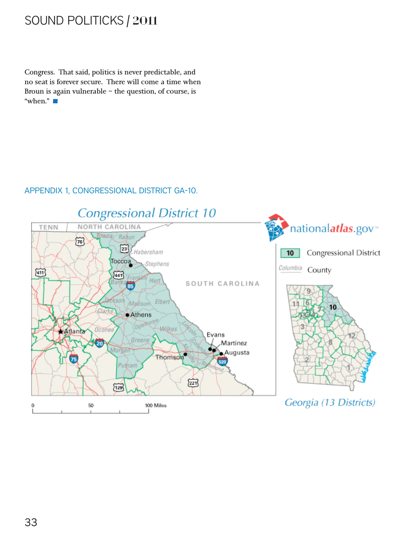Congress. That said, politics is never predictable, and no seat is forever secure. There will come a time when<br>Broun is again vulnerable – the question, of course, is<br>"when." Broun is again vulnerable – the question, of course, is

#### APPENDIX 1, CONGRESSIONAL DISTRICT GA-10.

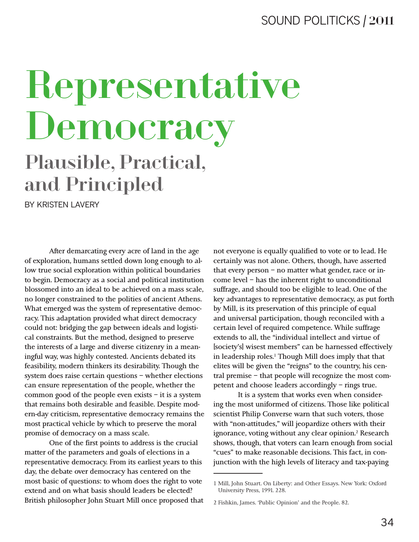# Representative Democracy Plausible, Practical, and Principled

BY KRISTEN LAVERY

After demarcating every acre of land in the age of exploration, humans settled down long enough to allow true social exploration within political boundaries to begin. Democracy as a social and political institution blossomed into an ideal to be achieved on a mass scale, no longer constrained to the polities of ancient Athens. What emerged was the system of representative democracy. This adaptation provided what direct democracy could not: bridging the gap between ideals and logistical constraints. But the method, designed to preserve the interests of a large and diverse citizenry in a meaningful way, was highly contested. Ancients debated its feasibility, modern thinkers its desirability. Though the system does raise certain questions – whether elections can ensure representation of the people, whether the common good of the people even exists – it is a system that remains both desirable and feasible. Despite modern-day criticism, representative democracy remains the most practical vehicle by which to preserve the moral promise of democracy on a mass scale.

One of the first points to address is the crucial matter of the parameters and goals of elections in a representative democracy. From its earliest years to this day, the debate over democracy has centered on the most basic of questions: to whom does the right to vote extend and on what basis should leaders be elected? British philosopher John Stuart Mill once proposed that not everyone is equally qualified to vote or to lead. He certainly was not alone. Others, though, have asserted that every person – no matter what gender, race or income level – has the inherent right to unconditional suffrage, and should too be eligible to lead. One of the key advantages to representative democracy, as put forth by Mill, is its preservation of this principle of equal and universal participation, though reconciled with a certain level of required competence. While suffrage extends to all, the "individual intellect and virtue of [society's] wisest members" can be harnessed effectively in leadership roles.<sup>1</sup> Though Mill does imply that that elites will be given the "reigns" to the country, his central premise – that people will recognize the most competent and choose leaders accordingly – rings true.

It is a system that works even when considering the most uniformed of citizens. Those like political scientist Philip Converse warn that such voters, those with "non-attitudes," will jeopardize others with their ignorance, voting without any clear opinion.<sup>2</sup> Research shows, though, that voters can learn enough from social "cues" to make reasonable decisions. This fact, in conjunction with the high levels of literacy and tax-paying

<sup>1</sup> Mill, John Stuart. On Liberty: and Other Essays. New York: Oxford University Press, 1991. 228.

<sup>2</sup> Fishkin, James. 'Public Opinion' and the People. 82.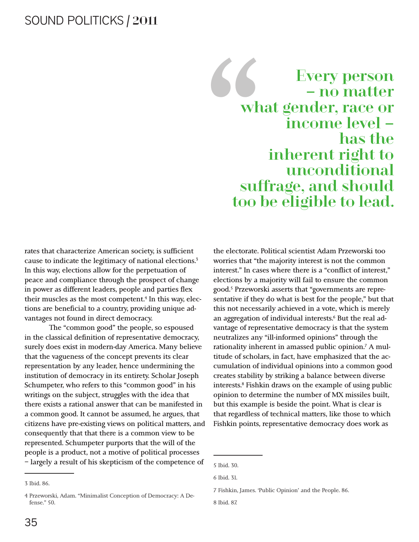Every person – no matter what gender, race or income level – has the inherent right to unconditional suffrage, and should too be eligible to lead. (

rates that characterize American society, is sufficient cause to indicate the legitimacy of national elections.3 In this way, elections allow for the perpetuation of peace and compliance through the prospect of change in power as different leaders, people and parties flex their muscles as the most competent.4 In this way, elections are beneficial to a country, providing unique advantages not found in direct democracy.

The "common good" the people, so espoused in the classical definition of representative democracy, surely does exist in modern-day America. Many believe that the vagueness of the concept prevents its clear representation by any leader, hence undermining the institution of democracy in its entirety. Scholar Joseph Schumpeter, who refers to this "common good" in his writings on the subject, struggles with the idea that there exists a rational answer that can be manifested in a common good. It cannot be assumed, he argues, that citizens have pre-existing views on political matters, and consequently that that there is a common view to be represented. Schumpeter purports that the will of the people is a product, not a motive of political processes – largely a result of his skepticism of the competence of

the electorate. Political scientist Adam Przeworski too worries that "the majority interest is not the common interest." In cases where there is a "conflict of interest," elections by a majority will fail to ensure the common good.5 Przeworski asserts that "governments are representative if they do what is best for the people," but that this not necessarily achieved in a vote, which is merely an aggregation of individual interests.<sup>6</sup> But the real advantage of representative democracy is that the system neutralizes any "ill-informed opinions" through the rationality inherent in amassed public opinion.7 A multitude of scholars, in fact, have emphasized that the accumulation of individual opinions into a common good creates stability by striking a balance between diverse interests.8 Fishkin draws on the example of using public opinion to determine the number of MX missiles built, but this example is beside the point. What is clear is that regardless of technical matters, like those to which Fishkin points, representative democracy does work as

<sup>3</sup> Ibid. 86.

<sup>4</sup> Przeworski, Adam. "Minimalist Conception of Democracy: A Defense." 50.

<sup>5</sup> Ibid. 30.

<sup>6</sup> Ibid. 31.

<sup>7</sup> Fishkin, James. 'Public Opinion' and the People. 86.

<sup>8</sup> Ibid. 87.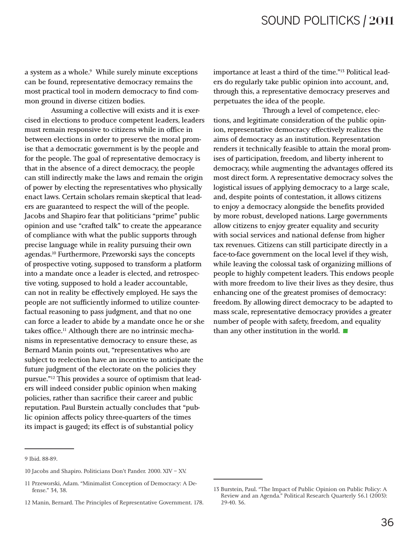a system as a whole.<sup>9</sup> While surely minute exceptions can be found, representative democracy remains the most practical tool in modern democracy to find common ground in diverse citizen bodies.

 Assuming a collective will exists and it is exercised in elections to produce competent leaders, leaders must remain responsive to citizens while in office in between elections in order to preserve the moral promise that a democratic government is by the people and for the people. The goal of representative democracy is that in the absence of a direct democracy, the people can still indirectly make the laws and remain the origin of power by electing the representatives who physically enact laws. Certain scholars remain skeptical that leaders are guaranteed to respect the will of the people. Jacobs and Shapiro fear that politicians "prime" public opinion and use "crafted talk" to create the appearance of compliance with what the public supports through precise language while in reality pursuing their own agendas.10 Furthermore, Przeworski says the concepts of prospective voting, supposed to transform a platform into a mandate once a leader is elected, and retrospective voting, supposed to hold a leader accountable, can not in reality be effectively employed. He says the people are not sufficiently informed to utilize counterfactual reasoning to pass judgment, and that no one can force a leader to abide by a mandate once he or she takes office.11 Although there are no intrinsic mechanisms in representative democracy to ensure these, as Bernard Manin points out, "representatives who are subject to reelection have an incentive to anticipate the future judgment of the electorate on the policies they pursue."12 This provides a source of optimism that leaders will indeed consider public opinion when making policies, rather than sacrifice their career and public reputation. Paul Burstein actually concludes that "public opinion affects policy three-quarters of the times its impact is gauged; its effect is of substantial policy

importance at least a third of the time."13 Political leaders do regularly take public opinion into account, and, through this, a representative democracy preserves and perpetuates the idea of the people.

Through a level of competence, elections, and legitimate consideration of the public opinion, representative democracy effectively realizes the aims of democracy as an institution. Representation renders it technically feasible to attain the moral promises of participation, freedom, and liberty inherent to democracy, while augmenting the advantages offered its most direct form. A representative democracy solves the logistical issues of applying democracy to a large scale, and, despite points of contestation, it allows citizens to enjoy a democracy alongside the benefits provided by more robust, developed nations. Large governments allow citizens to enjoy greater equality and security with social services and national defense from higher tax revenues. Citizens can still participate directly in a face-to-face government on the local level if they wish, while leaving the colossal task of organizing millions of people to highly competent leaders. This endows people with more freedom to live their lives as they desire, thus enhancing one of the greatest promises of democracy: freedom. By allowing direct democracy to be adapted to mass scale, representative democracy provides a greater<br>number of people with safety, freedom, and equality<br>than any other institution in the world. number of people with safety, freedom, and equality

12 Manin, Bernard. The Principles of Representative Government. 178.

<sup>9</sup> Ibid. 88-89.

<sup>10</sup> Jacobs and Shapiro. Politicians Don't Pander. 2000. XIV – XV.

<sup>11</sup> Przeworski, Adam. "Minimalist Conception of Democracy: A Defense." 34, 38.

<sup>13</sup> Burstein, Paul. "The Impact of Public Opinion on Public Policy: A Review and an Agenda." Political Research Quarterly 56.1 (2003): 29-40. 36.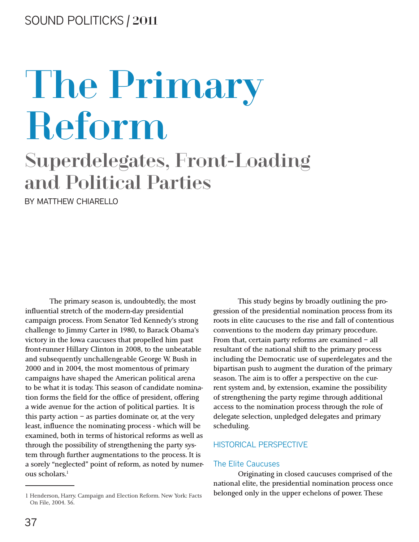# The Primary Reform

# Superdelegates, Front-Loading and Political Parties

BY MATTHEW CHIARELLO

The primary season is, undoubtedly, the most influential stretch of the modern-day presidential campaign process. From Senator Ted Kennedy's strong challenge to Jimmy Carter in 1980, to Barack Obama's victory in the Iowa caucuses that propelled him past front-runner Hillary Clinton in 2008, to the unbeatable and subsequently unchallengeable George W. Bush in 2000 and in 2004, the most momentous of primary campaigns have shaped the American political arena to be what it is today. This season of candidate nomination forms the field for the office of president, offering a wide avenue for the action of political parties. It is this party action – as parties dominate or, at the very least, influence the nominating process - which will be examined, both in terms of historical reforms as well as through the possibility of strengthening the party system through further augmentations to the process. It is a sorely "neglected" point of reform, as noted by numerous scholars.1

This study begins by broadly outlining the progression of the presidential nomination process from its roots in elite caucuses to the rise and fall of contentious conventions to the modern day primary procedure. From that, certain party reforms are examined – all resultant of the national shift to the primary process including the Democratic use of superdelegates and the bipartisan push to augment the duration of the primary season. The aim is to offer a perspective on the current system and, by extension, examine the possibility of strengthening the party regime through additional access to the nomination process through the role of delegate selection, unpledged delegates and primary scheduling.

#### HISTORICAL PERSPECTIVE

#### The Elite Caucuses

Originating in closed caucuses comprised of the national elite, the presidential nomination process once belonged only in the upper echelons of power. These

<sup>1</sup> Henderson, Harry. Campaign and Election Reform. New York: Facts On File, 2004. 36.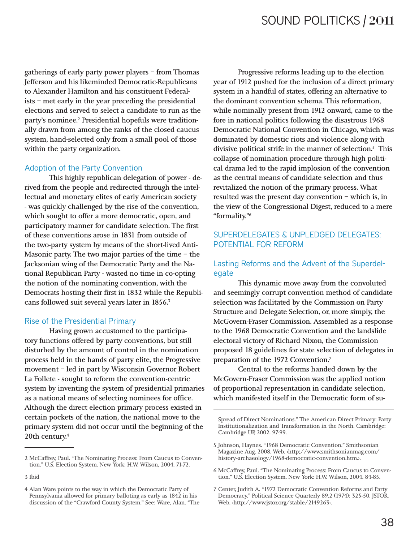gatherings of early party power players – from Thomas Jefferson and his likeminded Democratic-Republicans to Alexander Hamilton and his constituent Federalists – met early in the year preceding the presidential elections and served to select a candidate to run as the party's nominee.<sup>2</sup> Presidential hopefuls were traditionally drawn from among the ranks of the closed caucus system, hand-selected only from a small pool of those within the party organization.

#### Adoption of the Party Convention

This highly republican delegation of power - derived from the people and redirected through the intellectual and monetary elites of early American society - was quickly challenged by the rise of the convention, which sought to offer a more democratic, open, and participatory manner for candidate selection. The first of these conventions arose in 1831 from outside of the two-party system by means of the short-lived Anti-Masonic party. The two major parties of the time – the Jacksonian wing of the Democratic Party and the National Republican Party - wasted no time in co-opting the notion of the nominating convention, with the Democrats hosting their first in 1832 while the Republicans followed suit several years later in 1856.3

#### Rise of the Presidential Primary

Having grown accustomed to the participatory functions offered by party conventions, but still disturbed by the amount of control in the nomination process held in the hands of party elite, the Progressive movement – led in part by Wisconsin Governor Robert La Follete - sought to reform the convention-centric system by inventing the system of presidential primaries as a national means of selecting nominees for office. Although the direct election primary process existed in certain pockets of the nation, the national move to the primary system did not occur until the beginning of the 20th century.4

3 Ibid

Progressive reforms leading up to the election year of 1912 pushed for the inclusion of a direct primary system in a handful of states, offering an alternative to the dominant convention schema. This reformation, while nominally present from 1912 onward, came to the fore in national politics following the disastrous 1968 Democratic National Convention in Chicago, which was dominated by domestic riots and violence along with divisive political strife in the manner of selection.<sup>5</sup> This collapse of nomination procedure through high political drama led to the rapid implosion of the convention as the central means of candidate selection and thus revitalized the notion of the primary process. What resulted was the present day convention – which is, in the view of the Congressional Digest, reduced to a mere "formality."6

#### SUPERDELEGATES & UNPLEDGED DELEGATES: POTENTIAL FOR REFORM

#### Lasting Reforms and the Advent of the Superdelegate

This dynamic move away from the convoluted and seemingly corrupt convention method of candidate selection was facilitated by the Commission on Party Structure and Delegate Selection, or, more simply, the McGovern-Fraser Commission. Assembled as a response to the 1968 Democratic Convention and the landslide electoral victory of Richard Nixon, the Commission proposed 18 guidelines for state selection of delegates in preparation of the 1972 Convention.<sup>7</sup>

Central to the reforms handed down by the McGovern-Fraser Commission was the applied notion of proportional representation in candidate selection, which manifested itself in the Democratic form of su-

- 6 McCaffrey, Paul. "The Nominating Process: From Caucus to Convention." U.S. Election System. New York: H.W. Wilson, 2004. 84-85.
- 7 Center, Judith A. "1972 Democratic Convention Reforms and Party Democracy." Political Science Quarterly 89.2 (1974): 325-50. JSTOR. Web. http://www.jstor.org/stable/2149263>.

<sup>2</sup> McCaffrey, Paul. "The Nominating Process: From Caucus to Convention." U.S. Election System. New York: H.W. Wilson, 2004. 71-72.

<sup>4</sup> Alan Ware points to the way in which the Democratic Party of Pennsylvania allowed for primary balloting as early as 1842 in his discussion of the "Crawford County System." See: Ware, Alan. "The

Spread of Direct Nominations." The American Direct Primary: Party Institutionalization and Transformation in the North. Cambridge: Cambridge UP, 2002. 97-99.

<sup>5</sup> Johnson, Haynes. "1968 Democratic Convention." Smithsonian Magazine Aug. 2008. Web. http;//www.smithsonianmag.com/ history-archaeology/1968-democratic-convention.htm.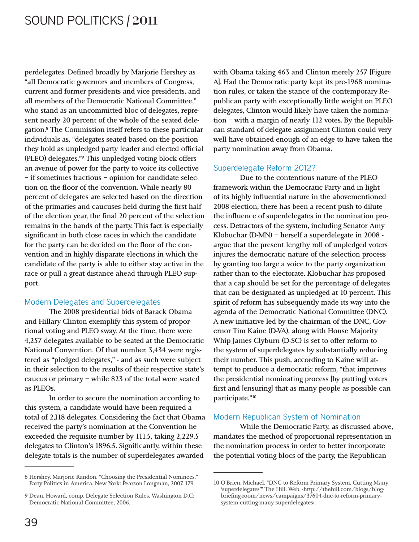perdelegates. Defined broadly by Marjorie Hershey as "all Democratic governors and members of Congress, current and former presidents and vice presidents, and all members of the Democratic National Committee," who stand as an uncommitted bloc of delegates, represent nearly 20 percent of the whole of the seated delegation.8 The Commission itself refers to these particular individuals as, "delegates seated based on the position they hold as unpledged party leader and elected official (PLEO) delegates."9 This unpledged voting block offers an avenue of power for the party to voice its collective – if sometimes fractious – opinion for candidate selection on the floor of the convention. While nearly 80 percent of delegates are selected based on the direction of the primaries and caucuses held during the first half of the election year, the final 20 percent of the selection remains in the hands of the party. This fact is especially significant in both close races in which the candidate for the party can be decided on the floor of the convention and in highly disparate elections in which the candidate of the party is able to either stay active in the race or pull a great distance ahead through PLEO support.

#### Modern Delegates and Superdelegates

The 2008 presidential bids of Barack Obama and Hillary Clinton exemplify this system of proportional voting and PLEO sway. At the time, there were 4,257 delegates available to be seated at the Democratic National Convention. Of that number, 3,434 were registered as "pledged delegates," - and as such were subject in their selection to the results of their respective state's caucus or primary – while 823 of the total were seated as PLEOs.

In order to secure the nomination according to this system, a candidate would have been required a total of 2,118 delegates. Considering the fact that Obama received the party's nomination at the Convention he exceeded the requisite number by 111.5, taking 2,229.5 delegates to Clinton's 1896.5. Significantly, within these delegate totals is the number of superdelegates awarded

with Obama taking 463 and Clinton merely 257 [Figure A]. Had the Democratic party kept its pre-1968 nomination rules, or taken the stance of the contemporary Republican party with exceptionally little weight on PLEO delegates, Clinton would likely have taken the nomination – with a margin of nearly 112 votes. By the Republican standard of delegate assignment Clinton could very well have obtained enough of an edge to have taken the party nomination away from Obama.

#### Superdelegate Reform 2012?

 Due to the contentious nature of the PLEO framework within the Democratic Party and in light of its highly influential nature in the abovementioned 2008 election, there has been a recent push to dilute the influence of superdelegates in the nomination process. Detractors of the system, including Senator Amy Klobuchar (D-MN) – herself a superdelegate in 2008 argue that the present lengthy roll of unpledged voters injures the democratic nature of the selection process by granting too large a voice to the party organization rather than to the electorate. Klobuchar has proposed that a cap should be set for the percentage of delegates that can be designated as unpledged at 10 percent. This spirit of reform has subsequently made its way into the agenda of the Democratic National Committee (DNC). A new initiative led by the chairman of the DNC, Governor Tim Kaine (D-VA), along with House Majority Whip James Clyburn (D-SC) is set to offer reform to the system of superdelegates by substantially reducing their number. This push, according to Kaine will attempt to produce a democratic reform, "that improves the presidential nominating process [by putting] voters first and [ensuring] that as many people as possible can participate."10

#### Modern Republican System of Nomination

 While the Democratic Party, as discussed above, mandates the method of proportional representation in the nomination process in order to better incorporate the potential voting blocs of the party, the Republican

<sup>8</sup> Hershey, Marjorie Randon. "Choosing the Presidential Nominees." Party Politics in America. New York: Pearson Longman, 2007. 179.

<sup>9</sup> Dean, Howard, comp. Delegate Selection Rules. Washington D.C: Democratic National Committee, 2006.

<sup>10</sup> O'Brien, Michael. "DNC to Reform Primary System, Cutting Many 'superdelegates'" The Hill. Web. <http://thehill.com/blogs/blogbriefing-room/news/campaigns/37604-dnc-to-reform-primarysystem-cutting-many-superdelegates>.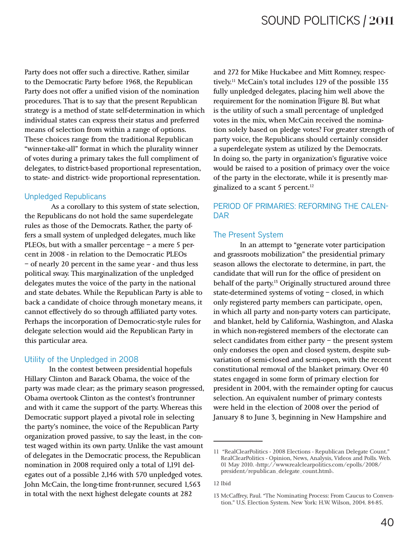Party does not offer such a directive. Rather, similar to the Democratic Party before 1968, the Republican Party does not offer a unified vision of the nomination procedures. That is to say that the present Republican strategy is a method of state self-determination in which individual states can express their status and preferred means of selection from within a range of options. These choices range from the traditional Republican "winner-take-all" format in which the plurality winner of votes during a primary takes the full compliment of delegates, to district-based proportional representation, to state- and district- wide proportional representation.

#### Unpledged Republicans

 As a corollary to this system of state selection, the Republicans do not hold the same superdelegate rules as those of the Democrats. Rather, the party offers a small system of unpledged delegates, much like PLEOs, but with a smaller percentage – a mere 5 percent in 2008 - in relation to the Democratic PLEOs – of nearly 20 percent in the same year - and thus less political sway. This marginalization of the unpledged delegates mutes the voice of the party in the national and state debates. While the Republican Party is able to back a candidate of choice through monetary means, it cannot effectively do so through affiliated party votes. Perhaps the incorporation of Democratic-style rules for delegate selection would aid the Republican Party in this particular area.

#### Utility of the Unpledged in 2008

In the contest between presidential hopefuls Hillary Clinton and Barack Obama, the voice of the party was made clear; as the primary season progressed, Obama overtook Clinton as the contest's frontrunner and with it came the support of the party. Whereas this Democratic support played a pivotal role in selecting the party's nominee, the voice of the Republican Party organization proved passive, to say the least, in the contest waged within its own party. Unlike the vast amount of delegates in the Democratic process, the Republican nomination in 2008 required only a total of 1,191 delegates out of a possible 2,146 with 570 unpledged votes. John McCain, the long-time front-runner, secured 1,563 in total with the next highest delegate counts at 282

and 272 for Mike Huckabee and Mitt Romney, respectively.11 McCain's total includes 129 of the possible 135 fully unpledged delegates, placing him well above the requirement for the nomination [Figure B]. But what is the utility of such a small percentage of unpledged votes in the mix, when McCain received the nomination solely based on pledge votes? For greater strength of party voice, the Republicans should certainly consider a superdelegate system as utilized by the Democrats. In doing so, the party in organization's figurative voice would be raised to a position of primacy over the voice of the party in the electorate, while it is presently marginalized to a scant 5 percent.<sup>12</sup>

#### PERIOD OF PRIMARIES: REFORMING THE CALEN-DAR

#### The Present System

 In an attempt to "generate voter participation and grassroots mobilization" the presidential primary season allows the electorate to determine, in part, the candidate that will run for the office of president on behalf of the party.<sup>13</sup> Originally structured around three state-determined systems of voting – closed, in which only registered party members can participate, open, in which all party and non-party voters can participate, and blanket, held by California, Washington, and Alaska in which non-registered members of the electorate can select candidates from either party – the present system only endorses the open and closed system, despite subvariation of semi-closed and semi-open, with the recent constitutional removal of the blanket primary. Over 40 states engaged in some form of primary election for president in 2004, with the remainder opting for caucus selection. An equivalent number of primary contests were held in the election of 2008 over the period of January 8 to June 3, beginning in New Hampshire and

<sup>11 &</sup>quot;RealClearPolitics - 2008 Elections - Republican Delegate Count." RealClearPolitics - Opinion, News, Analysis, Videos and Polls. Web. 01 May 2010. <http://www.realclearpolitics.com/epolls/2008/ president/republican\_delegate\_count.html>.

<sup>12</sup> Ibid

<sup>13</sup> McCaffrey, Paul. "The Nominating Process: From Caucus to Convention." U.S. Election System. New York: H.W. Wilson, 2004. 84-85.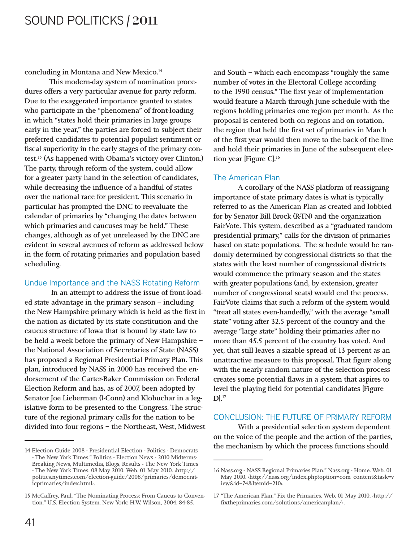concluding in Montana and New Mexico.<sup>14</sup>

This modern-day system of nomination procedures offers a very particular avenue for party reform. Due to the exaggerated importance granted to states who participate in the "phenomena" of front-loading in which "states hold their primaries in large groups early in the year," the parties are forced to subject their preferred candidates to potential populist sentiment or fiscal superiority in the early stages of the primary contest.15 (As happened with Obama's victory over Clinton.) The party, through reform of the system, could allow for a greater party hand in the selection of candidates, while decreasing the influence of a handful of states over the national race for president. This scenario in particular has prompted the DNC to reevaluate the calendar of primaries by "changing the dates between which primaries and caucuses may be held." These changes, although as of yet unreleased by the DNC are evident in several avenues of reform as addressed below in the form of rotating primaries and population based scheduling.

#### Undue Importance and the NASS Rotating Reform

 In an attempt to address the issue of front-loaded state advantage in the primary season – including the New Hampshire primary which is held as the first in the nation as dictated by its state constitution and the caucus structure of Iowa that is bound by state law to be held a week before the primary of New Hampshire – the National Association of Secretaries of State (NASS) has proposed a Regional Presidential Primary Plan. This plan, introduced by NASS in 2000 has received the endorsement of the Carter-Baker Commission on Federal Election Reform and has, as of 2007, been adopted by Senator Joe Lieberman (I-Conn) and Klobuchar in a legislative form to be presented to the Congress. The structure of the regional primary calls for the nation to be divided into four regions – the Northeast, West, Midwest and South – which each encompass "roughly the same number of votes in the Electoral College according to the 1990 census." The first year of implementation would feature a March through June schedule with the regions holding primaries one region per month. As the proposal is centered both on regions and on rotation, the region that held the first set of primaries in March of the first year would then move to the back of the line and hold their primaries in June of the subsequent election year [Figure C].<sup>16</sup>

#### The American Plan

A corollary of the NASS platform of reassigning importance of state primary dates is what is typically referred to as the American Plan as created and lobbied for by Senator Bill Brock (R-TN) and the organization FairVote. This system, described as a "graduated random presidential primary," calls for the division of primaries based on state populations. The schedule would be randomly determined by congressional districts so that the states with the least number of congressional districts would commence the primary season and the states with greater populations (and, by extension, greater number of congressional seats) would end the process. FairVote claims that such a reform of the system would "treat all states even-handedly," with the average "small state" voting after 32.5 percent of the country and the average "large state" holding their primaries after no more than 45.5 percent of the country has voted. And yet, that still leaves a sizable spread of 13 percent as an unattractive measure to this proposal. That figure along with the nearly random nature of the selection process creates some potential flaws in a system that aspires to level the playing field for potential candidates [Figure  $Dl.$ <sup>17</sup>

#### CONCLUSION: THE FUTURE OF PRIMARY REFORM

With a presidential selection system dependent on the voice of the people and the action of the parties, the mechanism by which the process functions should

<sup>14</sup> Election Guide 2008 - Presidential Election - Politics - Democrats - The New York Times." Politics - Election News - 2010 Midterms-Breaking News, Multimedia, Blogs, Results - The New York Times - The New York Times. 08 May 2010. Web. 01 May 2010. <http:// politics.nytimes.com/election-guide/2008/primaries/democraticprimaries/index.html>.

<sup>15</sup> McCaffrey, Paul. "The Nominating Process: From Caucus to Convention." U.S. Election System. New York: H.W. Wilson, 2004. 84-85.

<sup>16</sup> Nass.org - NASS Regional Primaries Plan." Nass.org - Home. Web. 01 May 2010. http://nass.org/index.php?option=com\_content&task=v iew&id=74&Itemid=210>.

<sup>17 &</sup>quot;The American Plan." Fix the Primaries. Web. 01 May 2010. <http:// fixtheprimaries.com/solutions/americanplan/>.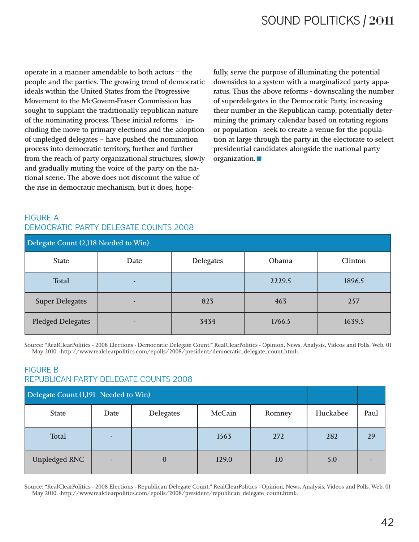operate in a manner amendable to both actors – the people and the parties. The growing trend of democratic ideals within the United States from the Progressive Movement to the McGovern-Fraser Commission has sought to supplant the traditionally republican nature of the nominating process. These initial reforms – including the move to primary elections and the adoption of unpledged delegates – have pushed the nomination process into democratic territory, further and further from the reach of party organizational structures, slowly and gradually muting the voice of the party on the national scene. The above does not discount the value of the rise in democratic mechanism, but it does, hopefully, serve the purpose of illuminating the potential downsides to a system with a marginalized party apparatus. Thus the above reforms - downscaling the number of superdelegates in the Democratic Party, increasing their number in the Republican camp, potentially determining the primary calendar based on rotating regions or population - seek to create a venue for the population at large through the party in the electorate to select presidential candidates alongside the national party organization. presidential candidates alongside the national party

#### FIGURE A DEMOCRATIC PARTY DELEGATE COUNTS 2008

| Delegate Count (2,118 Needed to Win) |                          |           |        |         |  |  |
|--------------------------------------|--------------------------|-----------|--------|---------|--|--|
| <b>State</b>                         | Date                     | Delegates | Obama  | Clinton |  |  |
| Total                                | ٠                        |           | 2229.5 | 1896.5  |  |  |
| <b>Super Delegates</b>               | -                        | 823       | 463    | 257     |  |  |
| <b>Pledged Delegates</b>             | $\overline{\phantom{0}}$ | 3434      | 1766.5 | 1639.5  |  |  |

Source: "RealClearPolitics - 2008 Elections - Democratic Delegate Count." RealClearPolitics - Opinion, News, Analysis, Videos and Polls. Web. 01 May 2010. http://www.realclearpolitics.com/epolls/2008/president/democratic\_delegate\_count.html.

#### FIGURE B REPUBLICAN PARTY DELEGATE COUNTS 2008

| Delegate Count (1,191 Needed to Win) |      |           |        |        |          |      |
|--------------------------------------|------|-----------|--------|--------|----------|------|
| <b>State</b>                         | Date | Delegates | McCain | Romney | Huckabee | Paul |
| Total                                |      |           | 1563   | 272    | 282      | 29   |
| <b>Unpledged RNC</b>                 |      | $\bf{0}$  | 129.0  | 1.0    | 5.0      |      |

Source: "RealClearPolitics - 2008 Elections - Republican Delegate Count." RealClearPolitics - Opinion, News, Analysis, Videos and Polls. Web. 01 May 2010. http://www.realclearpolitics.com/epolls/2008/president/republican\_delegate\_count.html.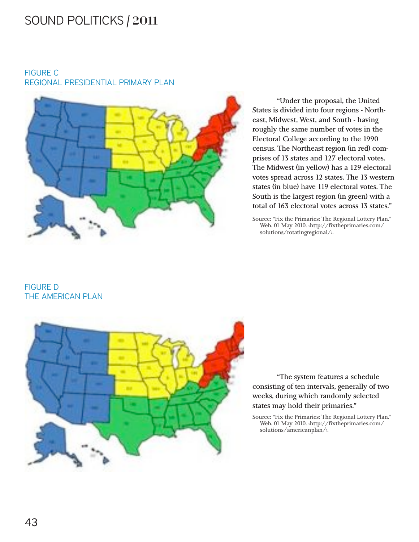#### FIGURE C REGIONAL PRESIDENTIAL PRIMARY PLAN



"Under the proposal, the United States is divided into four regions - Northeast, Midwest, West, and South - having roughly the same number of votes in the Electoral College according to the 1990 census. The Northeast region (in red) comprises of 13 states and 127 electoral votes. The Midwest (in yellow) has a 129 electoral votes spread across 12 states. The 13 western states (in blue) have 119 electoral votes. The South is the largest region (in green) with a total of 163 electoral votes across 13 states."

Source: "Fix the Primaries: The Regional Lottery Plan." Web. 01 May 2010. http://fixtheprimaries.com/ solutions/rotatingregional/>.

#### FIGURE D THE AMERICAN PLAN



"The system features a schedule consisting of ten intervals, generally of two weeks, during which randomly selected states may hold their primaries."

Source: "Fix the Primaries: The Regional Lottery Plan." Web. 01 May 2010. http://fixtheprimaries.com/ solutions/americanplan/>.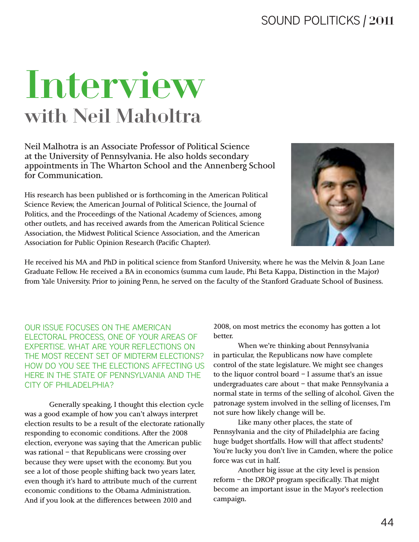# Interview with Neil Maholtra

Neil Malhotra is an Associate Professor of Political Science at the University of Pennsylvania. He also holds secondary appointments in The Wharton School and the Annenberg School for Communication.

His research has been published or is forthcoming in the American Political Science Review, the American Journal of Political Science, the Journal of Politics, and the Proceedings of the National Academy of Sciences, among other outlets, and has received awards from the American Political Science Association, the Midwest Political Science Association, and the American Association for Public Opinion Research (Pacific Chapter).



He received his MA and PhD in political science from Stanford University, where he was the Melvin & Joan Lane Graduate Fellow. He received a BA in economics (summa cum laude, Phi Beta Kappa, Distinction in the Major) from Yale University. Prior to joining Penn, he served on the faculty of the Stanford Graduate School of Business.

OUR ISSUE FOCUSES ON THE AMERICAN ELECTORAL PROCESS, ONE OF YOUR AREAS OF EXPERTISE. WHAT ARE YOUR REFLECTIONS ON THE MOST RECENT SET OF MIDTERM ELECTIONS? HOW DO YOU SEE THE ELECTIONS AFFECTING US HERE IN THE STATE OF PENNSYLVANIA AND THE CITY OF PHILADELPHIA?

Generally speaking, I thought this election cycle was a good example of how you can't always interpret election results to be a result of the electorate rationally responding to economic conditions. After the 2008 election, everyone was saying that the American public was rational – that Republicans were crossing over because they were upset with the economy. But you see a lot of those people shifting back two years later, even though it's hard to attribute much of the current economic conditions to the Obama Administration. And if you look at the differences between 2010 and

2008, on most metrics the economy has gotten a lot better.

When we're thinking about Pennsylvania in particular, the Republicans now have complete control of the state legislature. We might see changes to the liquor control board – I assume that's an issue undergraduates care about – that make Pennsylvania a normal state in terms of the selling of alcohol. Given the patronage system involved in the selling of licenses, I'm not sure how likely change will be.

Like many other places, the state of Pennsylvania and the city of Philadelphia are facing huge budget shortfalls. How will that affect students? You're lucky you don't live in Camden, where the police force was cut in half.

Another big issue at the city level is pension reform – the DROP program specifically. That might become an important issue in the Mayor's reelection campaign.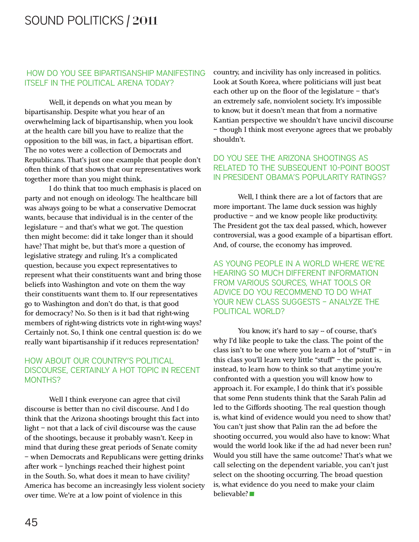#### HOW DO YOU SEE BIPARTISANSHIP MANIFESTING ITSELF IN THE POLITICAL ARENA TODAY?

Well, it depends on what you mean by bipartisanship. Despite what you hear of an overwhelming lack of bipartisanship, when you look at the health care bill you have to realize that the opposition to the bill was, in fact, a bipartisan effort. The no votes were a collection of Democrats and Republicans. That's just one example that people don't often think of that shows that our representatives work together more than you might think.

I do think that too much emphasis is placed on party and not enough on ideology. The healthcare bill was always going to be what a conservative Democrat wants, because that individual is in the center of the legislature – and that's what we got. The question then might become: did it take longer than it should have? That might be, but that's more a question of legislative strategy and ruling. It's a complicated question, because you expect representatives to represent what their constituents want and bring those beliefs into Washington and vote on them the way their constituents want them to. If our representatives go to Washington and don't do that, is that good for democracy? No. So then is it bad that right-wing members of right-wing districts vote in right-wing ways? Certainly not. So, I think one central question is: do we really want bipartisanship if it reduces representation?

#### HOW ABOUT OUR COUNTRY'S POLITICAL DISCOURSE, CERTAINLY A HOT TOPIC IN RECENT MONTHS?

Well I think everyone can agree that civil discourse is better than no civil discourse. And I do think that the Arizona shootings brought this fact into light – not that a lack of civil discourse was the cause of the shootings, because it probably wasn't. Keep in mind that during these great periods of Senate comity – when Democrats and Republicans were getting drinks after work – lynchings reached their highest point in the South. So, what does it mean to have civility? America has become an increasingly less violent society over time. We're at a low point of violence in this

country, and incivility has only increased in politics. Look at South Korea, where politicians will just beat each other up on the floor of the legislature – that's an extremely safe, nonviolent society. It's impossible to know, but it doesn't mean that from a normative Kantian perspective we shouldn't have uncivil discourse – though I think most everyone agrees that we probably shouldn't.

#### DO YOU SEE THE ARIZONA SHOOTINGS AS RELATED TO THE SUBSEQUENT 10-POINT BOOST IN PRESIDENT OBAMA'S POPULARITY RATINGS?

Well, I think there are a lot of factors that are more important. The lame duck session was highly productive – and we know people like productivity. The President got the tax deal passed, which, however controversial, was a good example of a bipartisan effort. And, of course, the economy has improved.

AS YOUNG PEOPLE IN A WORLD WHERE WE'RE HEARING SO MUCH DIFFERENT INFORMATION FROM VARIOUS SOURCES, WHAT TOOLS OR ADVICE DO YOU RECOMMEND TO DO WHAT YOUR NEW CLASS SUGGESTS – ANALYZE THE POLITICAL WORLD?

You know, it's hard to say -- of course, that's why I'd like people to take the class. The point of the class isn't to be one where you learn a lot of "stuff" – in this class you'll learn very little "stuff" – the point is, instead, to learn how to think so that anytime you're confronted with a question you will know how to approach it. For example, I do think that it's possible that some Penn students think that the Sarah Palin ad led to the Giffords shooting. The real question though is, what kind of evidence would you need to show that? You can't just show that Palin ran the ad before the shooting occurred, you would also have to know: What would the world look like if the ad had never been run? Would you still have the same outcome? That's what we call selecting on the dependent variable, you can't just select on the shooting occurring. The broad question is, what evidence do you need to make your claim select on the<br>is, what evide<br>believable?